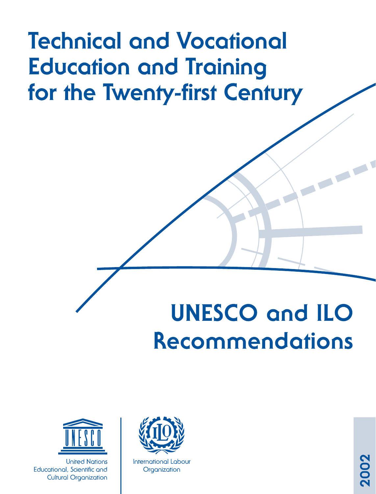## **Technical and Vocational Education and Training** for the Twenty-first Century

# **UNESCO and ILO Recommendations**



**United Nations** Educational, Scientific and **Cultural Organization** 



2002

**AMER**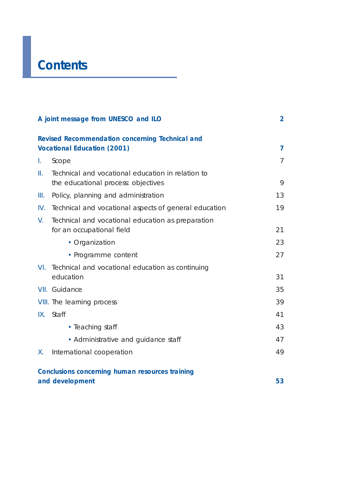## **Contents**

| $\boldsymbol{2}$ |
|------------------|
| 7                |
| $\tau$           |
| 9                |
| 13               |
| 19               |
| 21               |
| 23               |
| 27               |
| 31               |
| 35               |
| 39               |
| 41               |
| 43               |
| 47               |
| 49               |
| 53               |
|                  |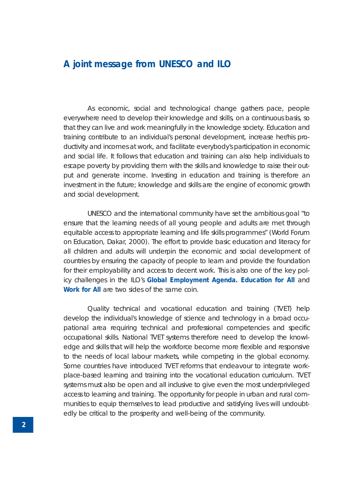#### <span id="page-2-0"></span>**A joint message from UNESCO and ILO**

As economic, social and technological change gathers pace, people everywhere need to develop their knowledge and skills, on a continuous basis, so that they can live and work meaningfully in the knowledge society. Education and training contribute to an individual's personal development, increase her/his productivity and incomes at work, and facilitate everybody's participation in economic and social life. It follows that education and training can also help individuals to escape poverty by providing them with the skills and knowledge to raise their output and generate income. Investing in education and training is therefore an investment in the future; knowledge and skills are the engine of economic growth and social development.

UNESCO and the international community have set the ambitious goal "to ensure that the learning needs of all young people and adults are met through equitable access to appropriate learning and life skills programmes" (World Forum on Education, Dakar, 2000). The effort to provide basic education and literacy for all children and adults will underpin the economic and social development of countries by ensuring the capacity of people to learn and provide the foundation for their employability and access to decent work. This is also one of the key policy challenges in the ILO's *Global Employment Agenda. Education for All* and *Work for All* are two sides of the same coin.

Quality technical and vocational education and training (TVET) help develop the individual's knowledge of science and technology in a broad occupational area requiring technical and professional competencies and specific occupational skills. National TVET systems therefore need to develop the knowledge and skills that will help the workforce become more flexible and responsive to the needs of local labour markets, while competing in the global economy. Some countries have introduced TVET reforms that endeavour to integrate workplace-based learning and training into the vocational education curriculum. TVET systems must also be open and all inclusive to give even the most underprivileged access to learning and training. The opportunity for people in urban and rural communities to equip themselves to lead productive and satisfying lives will undoubtedly be critical to the prosperity and well-being of the community.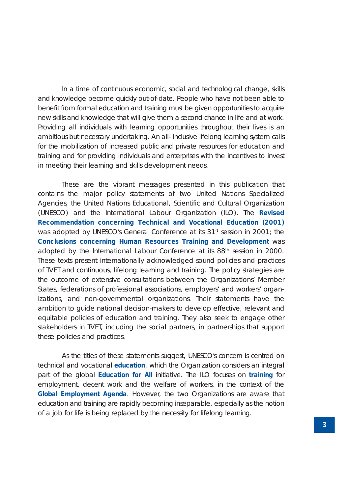In a time of continuous economic, social and technological change, skills and knowledge become quickly out-of-date. People who have not been able to benefit from formal education and training must be given opportunities to acquire new skills and knowledge that will give them a second chance in life and at work. Providing all individuals with learning opportunities throughout their lives is an ambitious but necessary undertaking. An all- inclusive lifelong learning system calls for the mobilization of increased public and private resources for education and training and for providing individuals and enterprises with the incentives to invest in meeting their learning and skills development needs.

These are the vibrant messages presented in this publication that contains the major policy statements of two United Nations Specialized Agencies, the United Nations Educational, Scientific and Cultural Organization (UNESCO) and the International Labour Organization (ILO). The *Revised Recommendation concerning Technical and Vocational Education (2001)* was adopted by UNESCO's General Conference at its 31<sup>st</sup> session in 2001; the *Conclusions concerning Human Resources Training and Development* was adopted by the International Labour Conference at its 88th session in 2000. These texts present internationally acknowledged sound policies and practices of TVET and continuous, lifelong learning and training. The policy strategies are the outcome of extensive consultations between the Organizations' Member States, federations of professional associations, employers' and workers' organizations, and non-governmental organizations. Their statements have the ambition to guide national decision-makers to develop effective, relevant and equitable policies of education and training. They also seek to engage other stakeholders in TVET, including the social partners, in partnerships that support these policies and practices.

As the titles of these statements suggest, UNESCO's concern is centred on technical and vocational *education*, which the Organization considers an integral part of the global *Education for All* initiative. The ILO focuses on *training* for employment, decent work and the welfare of workers, in the context of the *Global Employment Agenda*. However, the two Organizations are aware that education and training are rapidly becoming inseparable, especially as the notion of a job for life is being replaced by the necessity for lifelong learning.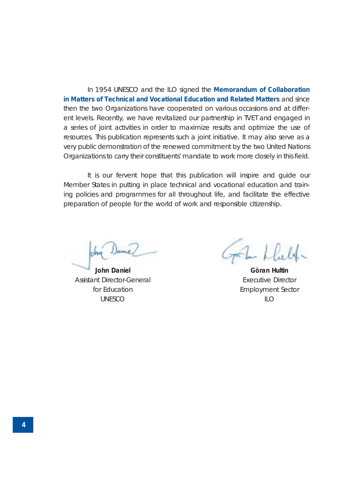In 1954 UNESCO and the ILO signed the *Memorandum of Collaboration in Matters of Technical and Vocational Education and Related Matters* and since then the two Organizations have cooperated on various occasions and at different levels. Recently, we have revitalized our partnership in TVET and engaged in a series of joint activities in order to maximize results and optimize the use of resources. This publication represents such a joint initiative. It may also serve as a very public demonstration of the renewed commitment by the two United Nations Organizations to carry their constituents' mandate to work more closely in this field.

It is our fervent hope that this publication will inspire and guide our Member States in putting in place technical and vocational education and training policies and programmes for all throughout life, and facilitate the effective preparation of people for the world of work and responsible citizenship.

Assistant Director-General **Executive Director-General** UNESCO KONSERVATIVO ELO

**John Daniel Göran Hultin** for Education Employment Sector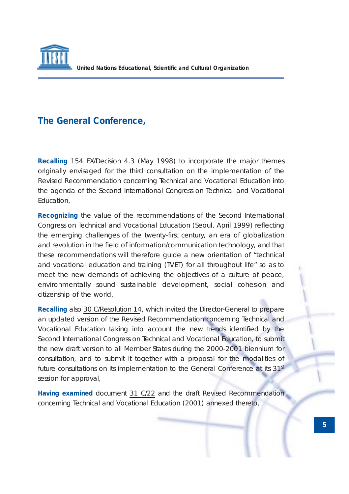

#### *The General Conference,*

*Recalling* 154 EX/Decision 4.3 (May 1998) to incorporate the major themes originally envisaged for the third consultation on the implementation of the Revised Recommendation concerning Technical and Vocational Education into the agenda of the Second International Congress on Technical and Vocational Education,

*Recognizing* the value of the recommendations of the Second International Congress on Technical and Vocational Education (Seoul, April 1999) reflecting the emerging challenges of the twenty-first century, an era of globalization and revolution in the field of information/communication technology, and that these recommendations will therefore guide a new orientation of "technical and vocational education and training (TVET) for all throughout life" so as to meet the new demands of achieving the objectives of a culture of peace, environmentally sound sustainable development, social cohesion and citizenship of the world,

*Recalling* also 30 C/Resolution 14, which invited the Director-General to prepare an updated version of the Revised Recommendation concerning Technical and Vocational Education taking into account the new trends identified by the Second International Congress on Technical and Vocational Education, to submit the new draft version to all Member States during the 2000-2001 biennium for consultation, and to submit it together with a proposal for the modalities of future consultations on its implementation to the General Conference at its  $31<sup>st</sup>$ session for approval,

*Having examined* document 31 C/22 and the draft Revised Recommendation concerning Technical and Vocational Education (2001) annexed thereto,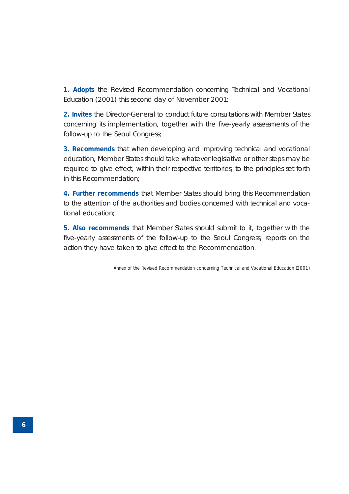*1. Adopts* the Revised Recommendation concerning Technical and Vocational Education (2001) this second day of November 2001;

*2. Invites* the Director-General to conduct future consultations with Member States concerning its implementation, together with the five-yearly assessments of the follow-up to the Seoul Congress;

*3. Recommends* that when developing and improving technical and vocational education, Member States should take whatever legislative or other steps may be required to give effect, within their respective territories, to the principles set forth in this Recommendation;

*4. Further recommends* that Member States should bring this Recommendation to the attention of the authorities and bodies concerned with technical and vocational education;

*5. Also recommends* that Member States should submit to it, together with the five-yearly assessments of the follow-up to the Seoul Congress, reports on the action they have taken to give effect to the Recommendation.

Annex of the *Revised Recommendation concerning Technical and Vocational Education (2001)*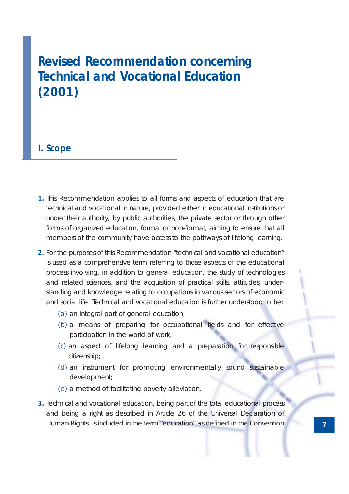### <span id="page-7-0"></span>**Revised Recommendation concerning Technical and Vocational Education (2001)**

#### **I. Scope**

- **1.** This Recommendation applies to all forms and aspects of education that are technical and vocational in nature, provided either in educational institutions or under their authority, by public authorities, the private sector or through other forms of organized education, formal or non-formal, aiming to ensure that all members of the community have access to the pathways of lifelong learning.
- **2.** For the purposes of this Recommendation "technical and vocational education" is used as a comprehensive term referring to those aspects of the educational process involving, in addition to general education, the study of technologies and related sciences, and the acquisition of practical skills, attitudes, understanding and knowledge relating to occupations in various sectors of economic and social life. Technical and vocational education is further understood to be:
	- (a) an integral part of general education;
	- (b) a means of preparing for occupational fields and for effective participation in the world of work;
	- (c) an aspect of lifelong learning and a preparation for responsible citizenship;
	- (d) an instrument for promoting environmentally sound sustainable development;
	- (e) a method of facilitating poverty alleviation.
- **3.** Technical and vocational education, being part of the total educational process and being a right as described in Article 26 of the Universal Declaration of Human Rights, is included in the term "education" as defined in the Convention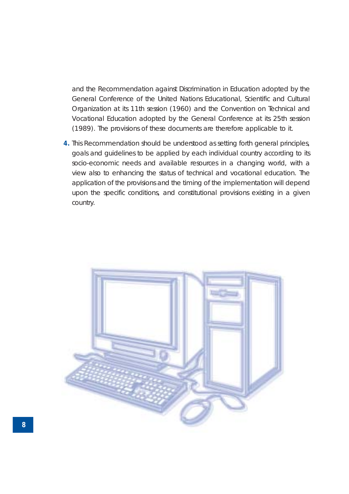and the Recommendation against Discrimination in Education adopted by the General Conference of the United Nations Educational, Scientific and Cultural Organization at its 11th session (1960) and the Convention on Technical and Vocational Education adopted by the General Conference at its 25th session (1989). The provisions of these documents are therefore applicable to it.

**4.** This Recommendation should be understood as setting forth general principles, goals and guidelines to be applied by each individual country according to its socio-economic needs and available resources in a changing world, with a view also to enhancing the status of technical and vocational education. The application of the provisions and the timing of the implementation will depend upon the specific conditions, and constitutional provisions existing in a given country.

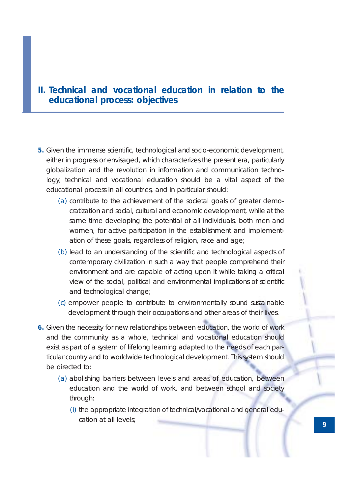#### <span id="page-9-0"></span>**II. Technical and vocational education in relation to the educational process: objectives**

- **5.** Given the immense scientific, technological and socio-economic development, either in progress or envisaged, which characterizes the present era, particularly globalization and the revolution in information and communication technology, technical and vocational education should be a vital aspect of the educational process in all countries, and in particular should:
	- (a) contribute to the achievement of the societal goals of greater democratization and social, cultural and economic development, while at the same time developing the potential of all individuals, both men and women, for active participation in the establishment and implementation of these goals, regardless of religion, race and age;
	- (b) lead to an understanding of the scientific and technological aspects of contemporary civilization in such a way that people comprehend their environment and are capable of acting upon it while taking a critical view of the social, political and environmental implications of scientific and technological change;
	- (c) empower people to contribute to environmentally sound sustainable development through their occupations and other areas of their lives.
- **6.** Given the necessity for new relationships between education, the world of work and the community as a whole, technical and vocational education should exist as part of a system of lifelong learning adapted to the needs of each particular country and to worldwide technological development. This system should be directed to:
	- (a) abolishing barriers between levels and areas of education, between education and the world of work, and between school and society through:
		- (i) the appropriate integration of technical/vocational and general education at all levels;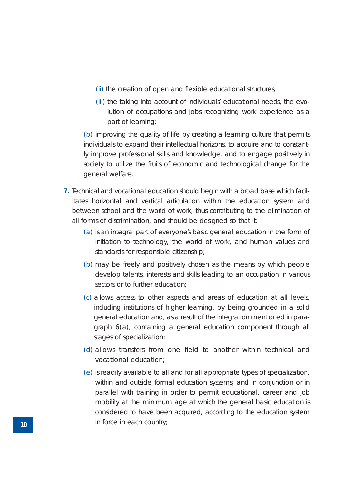- (ii) the creation of open and flexible educational structures;
- (iii) the taking into account of individuals' educational needs, the evolution of occupations and jobs recognizing work experience as a part of learning;

(b) improving the quality of life by creating a learning culture that permits individuals to expand their intellectual horizons, to acquire and to constantly improve professional skills and knowledge, and to engage positively in society to utilize the fruits of economic and technological change for the general welfare.

- **7.** Technical and vocational education should begin with a broad base which facilitates horizontal and vertical articulation within the education system and between school and the world of work, thus contributing to the elimination of all forms of discrimination, and should be designed so that it:
	- (a) is an integral part of everyone's basic general education in the form of initiation to technology, the world of work, and human values and standards for responsible citizenship;
	- (b) may be freely and positively chosen as the means by which people develop talents, interests and skills leading to an occupation in various sectors or to further education;
	- (c) allows access to other aspects and areas of education at all levels, including institutions of higher learning, by being grounded in a solid general education and, as a result of the integration mentioned in paragraph 6(a), containing a general education component through all stages of specialization;
	- (d) allows transfers from one field to another within technical and vocational education;
	- (e) is readily available to all and for all appropriate types of specialization, within and outside formal education systems, and in conjunction or in parallel with training in order to permit educational, career and job mobility at the minimum age at which the general basic education is considered to have been acquired, according to the education system in force in each country;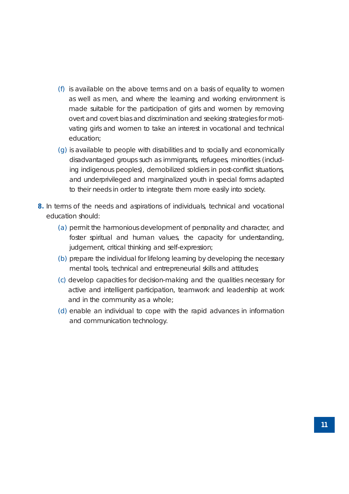- (f) is available on the above terms and on a basis of equality to women as well as men, and where the learning and working environment is made suitable for the participation of girls and women by removing overt and covert bias and discrimination and seeking strategies for motivating girls and women to take an interest in vocational and technical education;
- (g) is available to people with disabilities and to socially and economically disadvantaged groups such as immigrants, refugees, minorities (including indigenous peoples), demobilized soldiers in post-conflict situations, and underprivileged and marginalized youth in special forms adapted to their needs in order to integrate them more easily into society.
- **8.** In terms of the needs and aspirations of individuals, technical and vocational education should:
	- (a) permit the harmonious development of personality and character, and foster spiritual and human values, the capacity for understanding, judgement, critical thinking and self-expression;
	- (b) prepare the individual for lifelong learning by developing the necessary mental tools, technical and entrepreneurial skills and attitudes;
	- (c) develop capacities for decision-making and the qualities necessary for active and intelligent participation, teamwork and leadership at work and in the community as a whole;
	- (d) enable an individual to cope with the rapid advances in information and communication technology.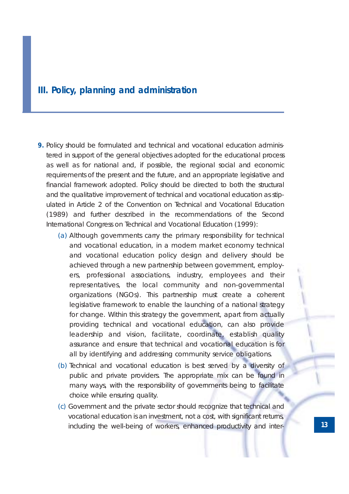#### <span id="page-12-0"></span>**III. Policy, planning and administration**

- **9.** Policy should be formulated and technical and vocational education administered in support of the general objectives adopted for the educational process as well as for national and, if possible, the regional social and economic requirements of the present and the future, and an appropriate legislative and financial framework adopted. Policy should be directed to both the structural and the qualitative improvement of technical and vocational education as stipulated in Article 2 of the Convention on Technical and Vocational Education (1989) and further described in the recommendations of the Second International Congress on Technical and Vocational Education (1999):
	- (a) Although governments carry the primary responsibility for technical and vocational education, in a modern market economy technical and vocational education policy design and delivery should be achieved through a new partnership between government, employers, professional associations, industry, employees and their representatives, the local community and non-governmental organizations (NGOs). This partnership must create a coherent legislative framework to enable the launching of a national strategy for change. Within this strategy the government, apart from actually providing technical and vocational education, can also provide leadership and vision, facilitate, coordinate, establish quality assurance and ensure that technical and vocational education is for all by identifying and addressing community service obligations.
	- (b) Technical and vocational education is best served by a diversity of public and private providers. The appropriate mix can be found in many ways, with the responsibility of governments being to facilitate choice while ensuring quality.
	- (c) Government and the private sector should recognize that technical and vocational education is an investment, not a cost, with significant returns, including the well-being of workers, enhanced productivity and inter-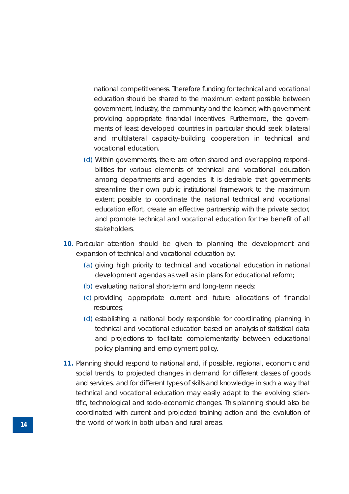national competitiveness. Therefore funding for technical and vocational education should be shared to the maximum extent possible between government, industry, the community and the learner, with government providing appropriate financial incentives. Furthermore, the governments of least developed countries in particular should seek bilateral and multilateral capacity-building cooperation in technical and vocational education.

- (d) Within governments, there are often shared and overlapping responsibilities for various elements of technical and vocational education among departments and agencies. It is desirable that governments streamline their own public institutional framework to the maximum extent possible to coordinate the national technical and vocational education effort, create an effective partnership with the private sector, and promote technical and vocational education for the benefit of all stakeholders.
- **10.** Particular attention should be given to planning the development and expansion of technical and vocational education by:
	- (a) giving high priority to technical and vocational education in national development agendas as well as in plans for educational reform;
	- (b) evaluating national short-term and long-term needs;
	- (c) providing appropriate current and future allocations of financial resources;
	- (d) establishing a national body responsible for coordinating planning in technical and vocational education based on analysis of statistical data and projections to facilitate complementarity between educational policy planning and employment policy.
- **11.** Planning should respond to national and, if possible, regional, economic and social trends, to projected changes in demand for different classes of goods and services, and for different types of skills and knowledge in such a way that technical and vocational education may easily adapt to the evolving scientific, technological and socio-economic changes. This planning should also be coordinated with current and projected training action and the evolution of the world of work in both urban and rural areas.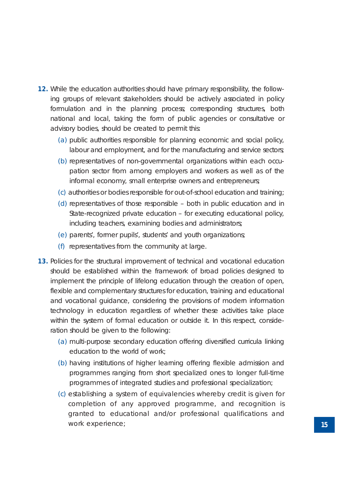- **12.** While the education authorities should have primary responsibility, the following groups of relevant stakeholders should be actively associated in policy formulation and in the planning process; corresponding structures, both national and local, taking the form of public agencies or consultative or advisory bodies, should be created to permit this:
	- (a) public authorities responsible for planning economic and social policy, labour and employment, and for the manufacturing and service sectors;
	- (b) representatives of non-governmental organizations within each occupation sector from among employers and workers as well as of the informal economy, small enterprise owners and entrepreneurs;
	- (c) authorities or bodies responsible for out-of-school education and training;
	- (d) representatives of those responsible both in public education and in State-recognized private education – for executing educational policy, including teachers, examining bodies and administrators;
	- (e) parents', former pupils', students' and youth organizations;
	- (f) representatives from the community at large.
- **13.** Policies for the structural improvement of technical and vocational education should be established within the framework of broad policies designed to implement the principle of lifelong education through the creation of open, flexible and complementary structures for education, training and educational and vocational guidance, considering the provisions of modern information technology in education regardless of whether these activities take place within the system of formal education or outside it. In this respect, consideration should be given to the following:
	- (a) multi-purpose secondary education offering diversified curricula linking education to the world of work;
	- (b) having institutions of higher learning offering flexible admission and programmes ranging from short specialized ones to longer full-time programmes of integrated studies and professional specialization;
	- (c) establishing a system of equivalencies whereby credit is given for completion of any approved programme, and recognition is granted to educational and/or professional qualifications and work experience;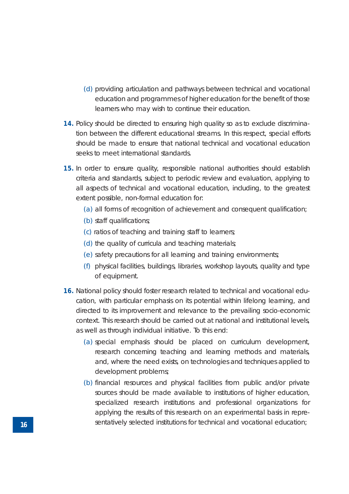- (d) providing articulation and pathways between technical and vocational education and programmes of higher education for the benefit of those learners who may wish to continue their education.
- **14.** Policy should be directed to ensuring high quality so as to exclude discrimination between the different educational streams. In this respect, special efforts should be made to ensure that national technical and vocational education seeks to meet international standards.
- **15.** In order to ensure quality, responsible national authorities should establish criteria and standards, subject to periodic review and evaluation, applying to all aspects of technical and vocational education, including, to the greatest extent possible, non-formal education for:
	- (a) all forms of recognition of achievement and consequent qualification;
	- (b) staff qualifications:
	- (c) ratios of teaching and training staff to learners;
	- (d) the quality of curricula and teaching materials;
	- (e) safety precautions for all learning and training environments;
	- (f) physical facilities, buildings, libraries, workshop layouts, quality and type of equipment.
- **16.** National policy should foster research related to technical and vocational education, with particular emphasis on its potential within lifelong learning, and directed to its improvement and relevance to the prevailing socio-economic context. This research should be carried out at national and institutional levels, as well as through individual initiative. To this end:
	- (a) special emphasis should be placed on curriculum development, research concerning teaching and learning methods and materials, and, where the need exists, on technologies and techniques applied to development problems;
	- (b) financial resources and physical facilities from public and/or private sources should be made available to institutions of higher education, specialized research institutions and professional organizations for applying the results of this research on an experimental basis in representatively selected institutions for technical and vocational education;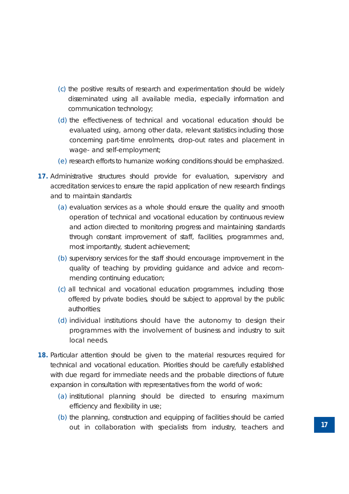- (c) the positive results of research and experimentation should be widely disseminated using all available media, especially information and communication technology;
- (d) the effectiveness of technical and vocational education should be evaluated using, among other data, relevant statistics including those concerning part-time enrolments, drop-out rates and placement in wage- and self-employment;
- (e) research efforts to humanize working conditions should be emphasized.
- **17.** Administrative structures should provide for evaluation, supervisory and accreditation services to ensure the rapid application of new research findings and to maintain standards:
	- (a) evaluation services as a whole should ensure the quality and smooth operation of technical and vocational education by continuous review and action directed to monitoring progress and maintaining standards through constant improvement of staff, facilities, programmes and, most importantly, student achievement;
	- (b) supervisory services for the staff should encourage improvement in the quality of teaching by providing guidance and advice and recommending continuing education;
	- (c) all technical and vocational education programmes, including those offered by private bodies, should be subject to approval by the public authorities;
	- (d) individual institutions should have the autonomy to design their programmes with the involvement of business and industry to suit local needs.
- **18.** Particular attention should be given to the material resources required for technical and vocational education. Priorities should be carefully established with due regard for immediate needs and the probable directions of future expansion in consultation with representatives from the world of work:
	- (a) institutional planning should be directed to ensuring maximum efficiency and flexibility in use;
	- (b) the planning, construction and equipping of facilities should be carried out in collaboration with specialists from industry, teachers and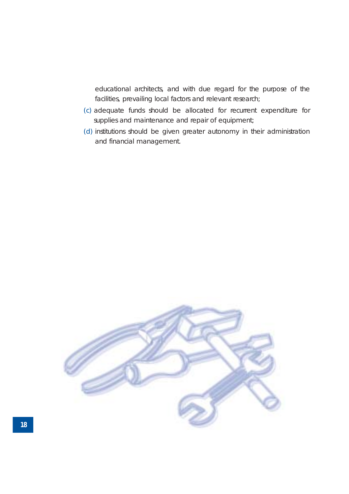educational architects, and with due regard for the purpose of the facilities, prevailing local factors and relevant research;

- (c) adequate funds should be allocated for recurrent expenditure for supplies and maintenance and repair of equipment;
- (d) institutions should be given greater autonomy in their administration and financial management.

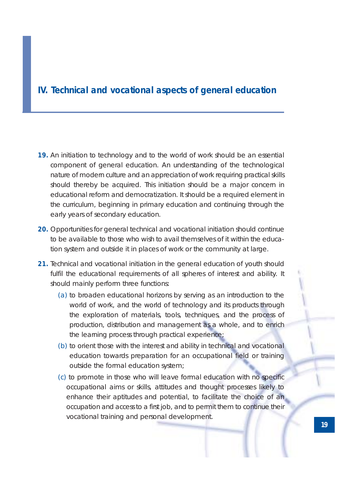#### <span id="page-18-0"></span>**IV. Technical and vocational aspects of general education**

- **19.** An initiation to technology and to the world of work should be an essential component of general education. An understanding of the technological nature of modern culture and an appreciation of work requiring practical skills should thereby be acquired. This initiation should be a major concern in educational reform and democratization. It should be a required element in the curriculum, beginning in primary education and continuing through the early years of secondary education.
- **20.** Opportunities for general technical and vocational initiation should continue to be available to those who wish to avail themselves of it within the education system and outside it in places of work or the community at large.
- **21.** Technical and vocational initiation in the general education of youth should fulfil the educational requirements of all spheres of interest and ability. It should mainly perform three functions:
	- (a) to broaden educational horizons by serving as an introduction to the world of work, and the world of technology and its products through the exploration of materials, tools, techniques, and the process of production, distribution and management as a whole, and to enrich the learning process through practical experience;
	- (b) to orient those with the interest and ability in technical and vocational education towards preparation for an occupational field or training outside the formal education system;
	- (c) to promote in those who will leave formal education with no specific occupational aims or skills, attitudes and thought processes likely to enhance their aptitudes and potential, to facilitate the choice of an occupation and access to a first job, and to permit them to continue their vocational training and personal development.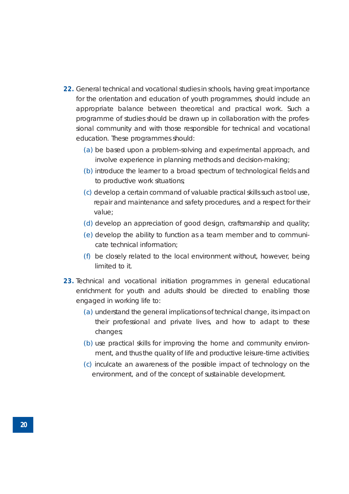- **22.** General technical and vocational studies in schools, having great importance for the orientation and education of youth programmes, should include an appropriate balance between theoretical and practical work. Such a programme of studies should be drawn up in collaboration with the professional community and with those responsible for technical and vocational education. These programmes should:
	- (a) be based upon a problem-solving and experimental approach, and involve experience in planning methods and decision-making;
	- (b) introduce the learner to a broad spectrum of technological fields and to productive work situations;
	- (c) develop a certain command of valuable practical skills such as tool use, repair and maintenance and safety procedures, and a respect for their value;
	- (d) develop an appreciation of good design, craftsmanship and quality;
	- (e) develop the ability to function as a team member and to communicate technical information;
	- (f) be closely related to the local environment without, however, being limited to it.
- **23.** Technical and vocational initiation programmes in general educational enrichment for youth and adults should be directed to enabling those engaged in working life to:
	- (a) understand the general implications of technical change, its impact on their professional and private lives, and how to adapt to these changes;
	- (b) use practical skills for improving the home and community environment, and thus the quality of life and productive leisure-time activities;
	- (c) inculcate an awareness of the possible impact of technology on the environment, and of the concept of sustainable development.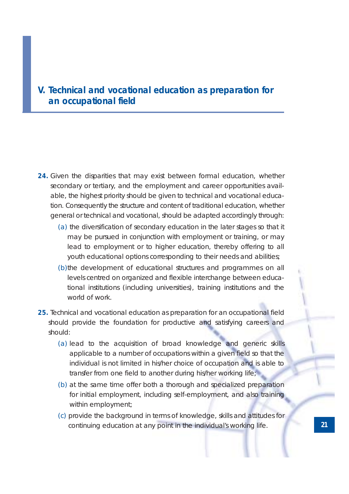#### <span id="page-20-0"></span>**V. Technical and vocational education as preparation for an occupational field**

- **24.** Given the disparities that may exist between formal education, whether secondary or tertiary, and the employment and career opportunities available, the highest priority should be given to technical and vocational education. Consequently the structure and content of traditional education, whether general or technical and vocational, should be adapted accordingly through:
	- (a) the diversification of secondary education in the later stages so that it may be pursued in conjunction with employment or training, or may lead to employment or to higher education, thereby offering to all youth educational options corresponding to their needs and abilities;
	- (b)the development of educational structures and programmes on all levels centred on organized and flexible interchange between educational institutions (including universities), training institutions and the world of work.
- **25.** Technical and vocational education as preparation for an occupational field should provide the foundation for productive and satisfying careers and should:
	- (a) lead to the acquisition of broad knowledge and generic skills applicable to a number of occupations within a given field so that the individual is not limited in his/her choice of occupation and is able to transfer from one field to another during his/her working life;
	- (b) at the same time offer both a thorough and specialized preparation for initial employment, including self-employment, and also training within employment;
	- (c) provide the background in terms of knowledge, skills and attitudes for continuing education at any point in the individual's working life.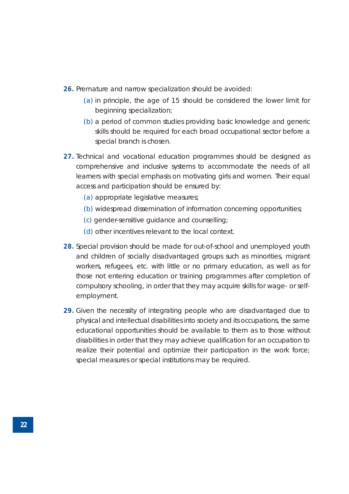- **26.** Premature and narrow specialization should be avoided:
	- (a) in principle, the age of 15 should be considered the lower limit for beginning specialization;
	- (b) a period of common studies providing basic knowledge and generic skills should be required for each broad occupational sector before a special branch is chosen.
- **27.** Technical and vocational education programmes should be designed as comprehensive and inclusive systems to accommodate the needs of all learners with special emphasis on motivating girls and women. Their equal access and participation should be ensured by:
	- (a) appropriate legislative measures;
	- (b) widespread dissemination of information concerning opportunities;
	- (c) gender-sensitive guidance and counselling;
	- (d) other incentives relevant to the local context.
- **28.** Special provision should be made for out-of-school and unemployed youth and children of socially disadvantaged groups such as minorities, migrant workers, refugees, etc. with little or no primary education, as well as for those not entering education or training programmes after completion of compulsory schooling, in order that they may acquire skills for wage- or selfemployment.
- **29.** Given the necessity of integrating people who are disadvantaged due to physical and intellectual disabilities into society and its occupations, the same educational opportunities should be available to them as to those without disabilities in order that they may achieve qualification for an occupation to realize their potential and optimize their participation in the work force; special measures or special institutions may be required.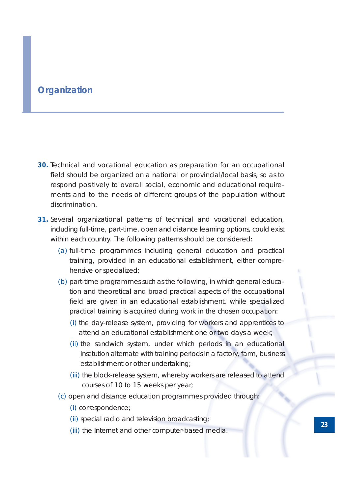#### <span id="page-22-0"></span>**Organization**

- **30.** Technical and vocational education as preparation for an occupational field should be organized on a national or provincial/local basis, so as to respond positively to overall social, economic and educational requirements and to the needs of different groups of the population without discrimination.
- **31.** Several organizational patterns of technical and vocational education, including full-time, part-time, open and distance learning options, could exist within each country. The following patterns should be considered:
	- (a) full-time programmes including general education and practical training, provided in an educational establishment, either comprehensive or specialized;
	- (b) part-time programmes such as the following, in which general education and theoretical and broad practical aspects of the occupational field are given in an educational establishment, while specialized practical training is acquired during work in the chosen occupation:
		- (i) the day-release system, providing for workers and apprentices to attend an educational establishment one or two days a week;
		- (ii) the sandwich system, under which periods in an educational institution alternate with training periods in a factory, farm, business establishment or other undertaking;
		- (iii) the block-release system, whereby workers are released to attend courses of 10 to 15 weeks per year;
	- (c) open and distance education programmes provided through:
		- (i) correspondence;
		- (ii) special radio and television broadcasting;
		- (iii) the Internet and other computer-based media.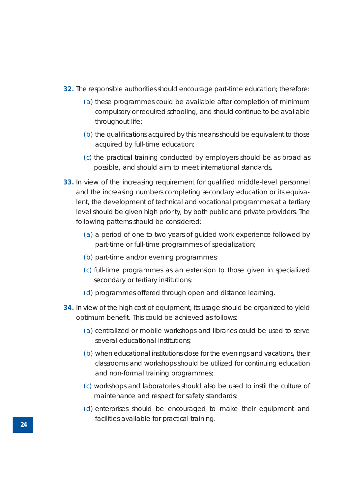**32.** The responsible authorities should encourage part-time education; therefore:

- (a) these programmes could be available after completion of minimum compulsory or required schooling, and should continue to be available throughout life;
- (b) the qualifications acquired by this means should be equivalent to those acquired by full-time education;
- (c) the practical training conducted by employers should be as broad as possible, and should aim to meet international standards.
- **33.** In view of the increasing requirement for qualified middle-level personnel and the increasing numbers completing secondary education or its equivalent, the development of technical and vocational programmes at a tertiary level should be given high priority, by both public and private providers. The following patterns should be considered:
	- (a) a period of one to two years of guided work experience followed by part-time or full-time programmes of specialization;
	- (b) part-time and/or evening programmes;
	- (c) full-time programmes as an extension to those given in specialized secondary or tertiary institutions;
	- (d) programmes offered through open and distance learning.
- **34.** In view of the high cost of equipment, its usage should be organized to yield optimum benefit. This could be achieved as follows:
	- (a) centralized or mobile workshops and libraries could be used to serve several educational institutions;
	- (b) when educational institutions close for the evenings and vacations, their classrooms and workshops should be utilized for continuing education and non-formal training programmes;
	- (c) workshops and laboratories should also be used to instil the culture of maintenance and respect for safety standards;
	- (d) enterprises should be encouraged to make their equipment and facilities available for practical training.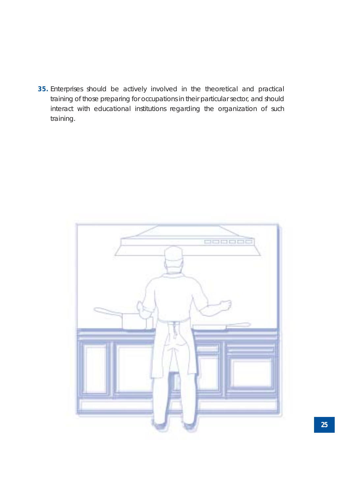**35.** Enterprises should be actively involved in the theoretical and practical training of those preparing for occupations in their particular sector, and should interact with educational institutions regarding the organization of such training.

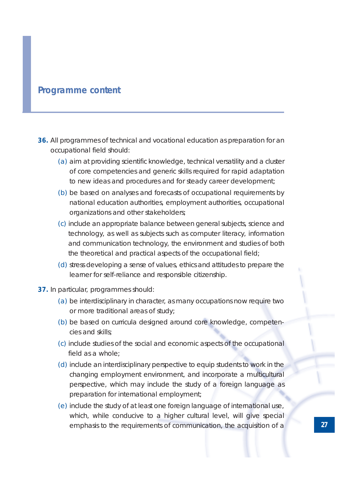#### <span id="page-25-0"></span>**Programme content**

- **36.** All programmes of technical and vocational education as preparation for an occupational field should:
	- (a) aim at providing scientific knowledge, technical versatility and a cluster of core competencies and generic skills required for rapid adaptation to new ideas and procedures and for steady career development;
	- (b) be based on analyses and forecasts of occupational requirements by national education authorities, employment authorities, occupational organizations and other stakeholders;
	- (c) include an appropriate balance between general subjects, science and technology, as well as subjects such as computer literacy, information and communication technology, the environment and studies of both the theoretical and practical aspects of the occupational field;
	- (d) stress developing a sense of values, ethics and attitudes to prepare the learner for self-reliance and responsible citizenship.
- **37.** In particular, programmes should:
	- (a) be interdisciplinary in character, as many occupations now require two or more traditional areas of study;
	- (b) be based on curricula designed around core knowledge, competencies and skills;
	- (c) include studies of the social and economic aspects of the occupational field as a whole;
	- (d) include an interdisciplinary perspective to equip students to work in the changing employment environment, and incorporate a multicultural perspective, which may include the study of a foreign language as preparation for international employment;
	- (e) include the study of at least one foreign language of international use, which, while conducive to a higher cultural level, will give special emphasis to the requirements of communication, the acquisition of a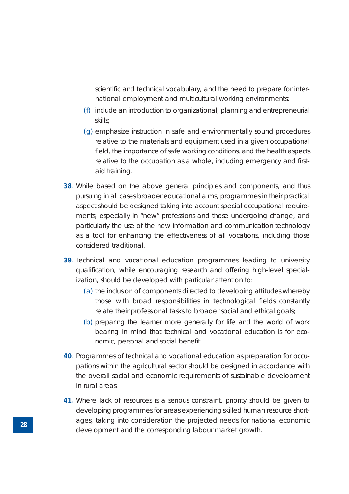scientific and technical vocabulary, and the need to prepare for international employment and multicultural working environments;

- (f) include an introduction to organizational, planning and entrepreneurial skills;
- (g) emphasize instruction in safe and environmentally sound procedures relative to the materials and equipment used in a given occupational field, the importance of safe working conditions, and the health aspects relative to the occupation as a whole, including emergency and firstaid training.
- **38.** While based on the above general principles and components, and thus pursuing in all cases broader educational aims, programmes in their practical aspect should be designed taking into account special occupational requirements, especially in "new" professions and those undergoing change, and particularly the use of the new information and communication technology as a tool for enhancing the effectiveness of all vocations, including those considered traditional.
- **39.** Technical and vocational education programmes leading to university qualification, while encouraging research and offering high-level specialization, should be developed with particular attention to:
	- (a) the inclusion of components directed to developing attitudes whereby those with broad responsibilities in technological fields constantly relate their professional tasks to broader social and ethical goals;
	- (b) preparing the learner more generally for life and the world of work bearing in mind that technical and vocational education is for economic, personal and social benefit.
- **40.** Programmes of technical and vocational education as preparation for occupations within the agricultural sector should be designed in accordance with the overall social and economic requirements of sustainable development in rural areas.
- **41.** Where lack of resources is a serious constraint, priority should be given to developing programmes for areas experiencing skilled human resource shortages, taking into consideration the projected needs for national economic development and the corresponding labour market growth.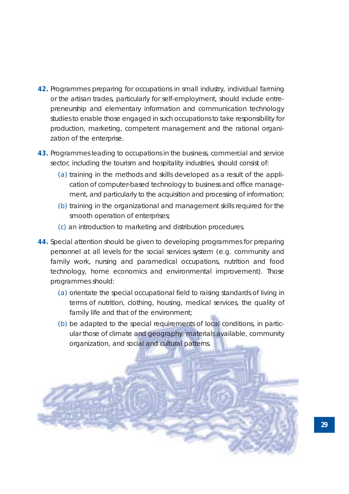- **42.** Programmes preparing for occupations in small industry, individual farming or the artisan trades, particularly for self-employment, should include entrepreneurship and elementary information and communication technology studies to enable those engaged in such occupations to take responsibility for production, marketing, competent management and the rational organization of the enterprise.
- **43.** Programmes leading to occupations in the business, commercial and service sector, including the tourism and hospitality industries, should consist of:
	- (a) training in the methods and skills developed as a result of the application of computer-based technology to business and office management, and particularly to the acquisition and processing of information;
	- (b) training in the organizational and management skills required for the smooth operation of enterprises;
	- (c) an introduction to marketing and distribution procedures.
- **44.** Special attention should be given to developing programmes for preparing personnel at all levels for the social services system (e.g. community and family work, nursing and paramedical occupations, nutrition and food technology, home economics and environmental improvement). Those programmes should:
	- (a) orientate the special occupational field to raising standards of living in terms of nutrition, clothing, housing, medical services, the quality of family life and that of the environment;
	- (b) be adapted to the special requirements of local conditions, in particular those of climate and geography, materials available, community organization, and social and cultural patterns.

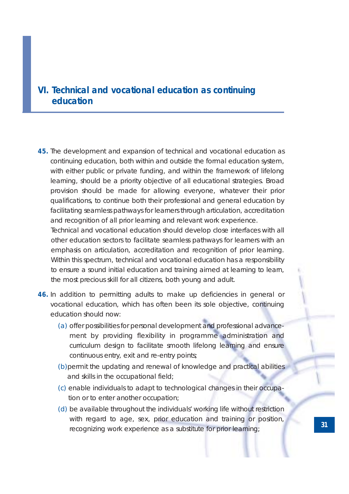#### <span id="page-28-0"></span>**VI. Technical and vocational education as continuing education**

**45.** The development and expansion of technical and vocational education as continuing education, both within and outside the formal education system, with either public or private funding, and within the framework of lifelong learning, should be a priority objective of all educational strategies. Broad provision should be made for allowing everyone, whatever their prior qualifications, to continue both their professional and general education by facilitating seamless pathways for learners through articulation, accreditation and recognition of all prior learning and relevant work experience.

Technical and vocational education should develop close interfaces with all other education sectors to facilitate seamless pathways for learners with an emphasis on articulation, accreditation and recognition of prior learning. Within this spectrum, technical and vocational education has a responsibility to ensure a sound initial education and training aimed at learning to learn, the most precious skill for all citizens, both young and adult.

- **46.** In addition to permitting adults to make up deficiencies in general or vocational education, which has often been its sole objective, continuing education should now:
	- (a) offer possibilities for personal development and professional advancement by providing flexibility in programme administration and curriculum design to facilitate smooth lifelong learning and ensure continuous entry, exit and re-entry points;
	- (b)permit the updating and renewal of knowledge and practical abilities and skills in the occupational field;
	- (c) enable individuals to adapt to technological changes in their occupation or to enter another occupation;
	- (d) be available throughout the individuals' working life without restriction with regard to age, sex, prior education and training or position, recognizing work experience as a substitute for prior learning;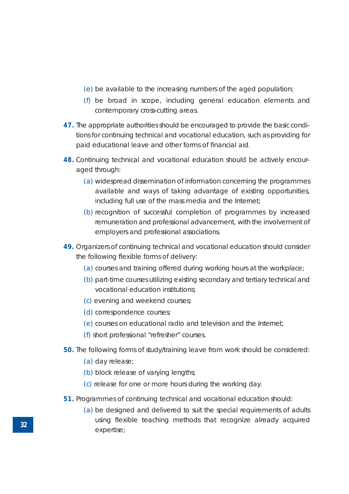- (e) be available to the increasing numbers of the aged population;
- (f) be broad in scope, including general education elements and contemporary cross-cutting areas.
- **47.** The appropriate authorities should be encouraged to provide the basic conditions for continuing technical and vocational education, such as providing for paid educational leave and other forms of financial aid.
- **48.** Continuing technical and vocational education should be actively encouraged through:
	- (a) widespread dissemination of information concerning the programmes available and ways of taking advantage of existing opportunities, including full use of the mass media and the Internet;
	- (b) recognition of successful completion of programmes by increased remuneration and professional advancement, with the involvement of employers and professional associations.
- **49.** Organizers of continuing technical and vocational education should consider the following flexible forms of delivery:
	- (a) courses and training offered during working hours at the workplace;
	- (b) part-time courses utilizing existing secondary and tertiary technical and vocational education institutions;
	- (c) evening and weekend courses;
	- (d) correspondence courses;
	- (e) courses on educational radio and television and the Internet;
	- (f) short professional "refresher" courses.
- **50.** The following forms of study/training leave from work should be considered:
	- (a) day release;
	- (b) block release of varying lengths;
	- (c) release for one or more hours during the working day.
- **51.** Programmes of continuing technical and vocational education should:
	- (a) be designed and delivered to suit the special requirements of adults using flexible teaching methods that recognize already acquired expertise;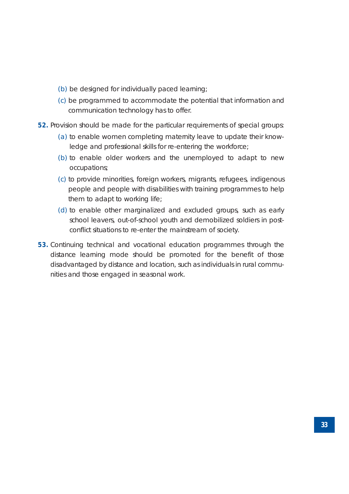- (b) be designed for individually paced learning;
- (c) be programmed to accommodate the potential that information and communication technology has to offer.
- **52.** Provision should be made for the particular requirements of special groups:
	- (a) to enable women completing maternity leave to update their knowledge and professional skills for re-entering the workforce;
	- (b) to enable older workers and the unemployed to adapt to new occupations;
	- (c) to provide minorities, foreign workers, migrants, refugees, indigenous people and people with disabilities with training programmes to help them to adapt to working life;
	- (d) to enable other marginalized and excluded groups, such as early school leavers, out-of-school youth and demobilized soldiers in postconflict situations to re-enter the mainstream of society.
- **53.** Continuing technical and vocational education programmes through the distance learning mode should be promoted for the benefit of those disadvantaged by distance and location, such as individuals in rural communities and those engaged in seasonal work.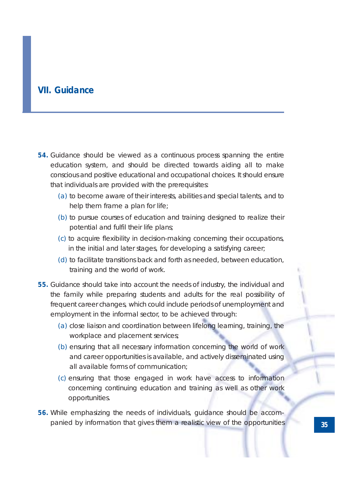#### <span id="page-31-0"></span>**VII. Guidance**

- **54.** Guidance should be viewed as a continuous process spanning the entire education system, and should be directed towards aiding all to make conscious and positive educational and occupational choices. It should ensure that individuals are provided with the prerequisites:
	- (a) to become aware of their interests, abilities and special talents, and to help them frame a plan for life;
	- (b) to pursue courses of education and training designed to realize their potential and fulfil their life plans;
	- (c) to acquire flexibility in decision-making concerning their occupations, in the initial and later stages, for developing a satisfying career;
	- (d) to facilitate transitions back and forth as needed, between education, training and the world of work.
- **55.** Guidance should take into account the needs of industry, the individual and the family while preparing students and adults for the real possibility of frequent career changes, which could include periods of unemployment and employment in the informal sector, to be achieved through:
	- (a) close liaison and coordination between lifelong learning, training, the workplace and placement services;
	- (b) ensuring that all necessary information concerning the world of work and career opportunities is available, and actively disseminated using all available forms of communication;
	- (c) ensuring that those engaged in work have access to information concerning continuing education and training as well as other work opportunities.
- **56.** While emphasizing the needs of individuals, guidance should be accompanied by information that gives them a realistic view of the opportunities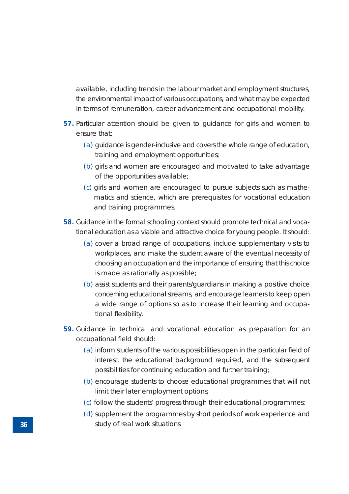available, including trends in the labour market and employment structures, the environmental impact of various occupations, and what may be expected in terms of remuneration, career advancement and occupational mobility.

- **57.** Particular attention should be given to guidance for girls and women to ensure that:
	- (a) guidance is gender-inclusive and covers the whole range of education, training and employment opportunities;
	- (b) girls and women are encouraged and motivated to take advantage of the opportunities available;
	- (c) girls and women are encouraged to pursue subjects such as mathematics and science, which are prerequisites for vocational education and training programmes.
- **58.** Guidance in the formal schooling context should promote technical and vocational education as a viable and attractive choice for young people. It should:
	- (a) cover a broad range of occupations, include supplementary visits to workplaces, and make the student aware of the eventual necessity of choosing an occupation and the importance of ensuring that this choice is made as rationally as possible;
	- (b) assist students and their parents/guardians in making a positive choice concerning educational streams, and encourage learners to keep open a wide range of options so as to increase their learning and occupational flexibility.
- **59.** Guidance in technical and vocational education as preparation for an occupational field should:
	- (a) inform students of the various possibilities open in the particular field of interest, the educational background required, and the subsequent possibilities for continuing education and further training;
	- (b) encourage students to choose educational programmes that will not limit their later employment options;
	- (c) follow the students' progress through their educational programmes;
	- (d) supplement the programmes by short periods of work experience and study of real work situations.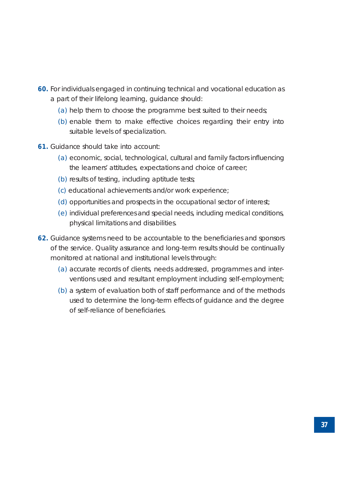- **60.** For individuals engaged in continuing technical and vocational education as a part of their lifelong learning, guidance should:
	- (a) help them to choose the programme best suited to their needs;
	- (b) enable them to make effective choices regarding their entry into suitable levels of specialization.
- **61.** Guidance should take into account:
	- (a) economic, social, technological, cultural and family factors influencing the learners' attitudes, expectations and choice of career;
	- (b) results of testing, including aptitude tests;
	- (c) educational achievements and/or work experience;
	- (d) opportunities and prospects in the occupational sector of interest;
	- (e) individual preferences and special needs, including medical conditions, physical limitations and disabilities.
- **62.** Guidance systems need to be accountable to the beneficiaries and sponsors of the service. Quality assurance and long-term results should be continually monitored at national and institutional levels through:
	- (a) accurate records of clients, needs addressed, programmes and interventions used and resultant employment including self-employment;
	- (b) a system of evaluation both of staff performance and of the methods used to determine the long-term effects of guidance and the degree of self-reliance of beneficiaries.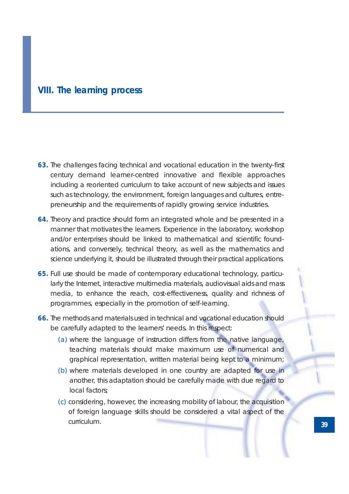#### <span id="page-34-0"></span>**VIII. The learning process**

- **63.** The challenges facing technical and vocational education in the twenty-first century demand learner-centred innovative and flexible approaches including a reoriented curriculum to take account of new subjects and issues such as technology, the environment, foreign languages and cultures, entrepreneurship and the requirements of rapidly growing service industries.
- **64.** Theory and practice should form an integrated whole and be presented in a manner that motivates the learners. Experience in the laboratory, workshop and/or enterprises should be linked to mathematical and scientific foundations, and conversely, technical theory, as well as the mathematics and science underlying it, should be illustrated through their practical applications.
- **65.** Full use should be made of contemporary educational technology, particularly the Internet, interactive multimedia materials, audiovisual aids and mass media, to enhance the reach, cost-effectiveness, quality and richness of programmes, especially in the promotion of self-learning.
- **66.** The methods and materials used in technical and vocational education should be carefully adapted to the learners' needs. In this respect:
	- (a) where the language of instruction differs from the native language, teaching materials should make maximum use of numerical and graphical representation, written material being kept to a minimum;
	- (b) where materials developed in one country are adapted for use in another, this adaptation should be carefully made with due regard to local factors;
	- (c) considering, however, the increasing mobility of labour, the acquisition of foreign language skills should be considered a vital aspect of the curriculum.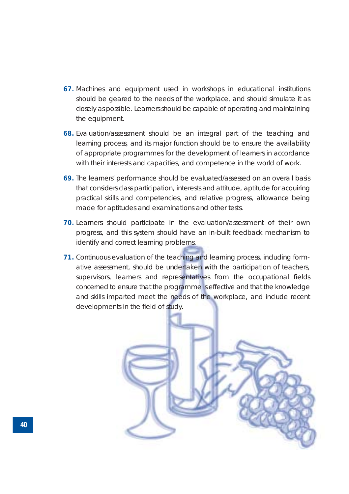- **67.** Machines and equipment used in workshops in educational institutions should be geared to the needs of the workplace, and should simulate it as closely as possible. Learners should be capable of operating and maintaining the equipment.
- **68.** Evaluation/assessment should be an integral part of the teaching and learning process, and its major function should be to ensure the availability of appropriate programmes for the development of learners in accordance with their interests and capacities, and competence in the world of work.
- **69.** The learners' performance should be evaluated/assessed on an overall basis that considers class participation, interests and attitude, aptitude for acquiring practical skills and competencies, and relative progress, allowance being made for aptitudes and examinations and other tests.
- **70.** Learners should participate in the evaluation/assessment of their own progress, and this system should have an in-built feedback mechanism to identify and correct learning problems.
- **71.** Continuous evaluation of the teaching and learning process, including formative assessment, should be undertaken with the participation of teachers, supervisors, learners and representatives from the occupational fields concerned to ensure that the programme is effective and that the knowledge and skills imparted meet the needs of the workplace, and include recent developments in the field of study.

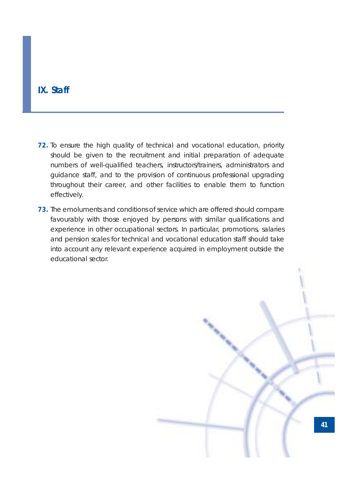#### <span id="page-36-0"></span>**IX. Staff**

- **72.** To ensure the high quality of technical and vocational education, priority should be given to the recruitment and initial preparation of adequate numbers of well-qualified teachers, instructors/trainers, administrators and guidance staff, and to the provision of continuous professional upgrading throughout their career, and other facilities to enable them to function effectively.
- **73.** The emoluments and conditions of service which are offered should compare favourably with those enjoyed by persons with similar qualifications and experience in other occupational sectors. In particular, promotions, salaries and pension scales for technical and vocational education staff should take into account any relevant experience acquired in employment outside the educational sector.

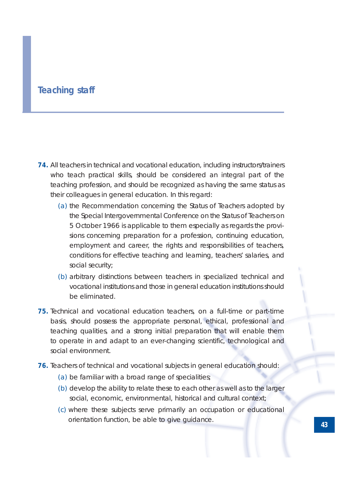#### <span id="page-37-0"></span>**Teaching staff**

- **74.** All teachers in technical and vocational education, including instructors/trainers who teach practical skills, should be considered an integral part of the teaching profession, and should be recognized as having the same status as their colleagues in general education. In this regard:
	- (a) the Recommendation concerning the Status of Teachers adopted by the Special Intergovernmental Conference on the Status of Teachers on 5 October 1966 is applicable to them especially as regards the provisions concerning preparation for a profession, continuing education, employment and career, the rights and responsibilities of teachers, conditions for effective teaching and learning, teachers' salaries, and social security;
	- (b) arbitrary distinctions between teachers in specialized technical and vocational institutions and those in general education institutions should be eliminated.
- **75.** Technical and vocational education teachers, on a full-time or part-time basis, should possess the appropriate personal, ethical, professional and teaching qualities, and a strong initial preparation that will enable them to operate in and adapt to an ever-changing scientific, technological and social environment.
- **76.** Teachers of technical and vocational subjects in general education should:
	- (a) be familiar with a broad range of specialities;
	- (b) develop the ability to relate these to each other as well as to the larger social, economic, environmental, historical and cultural context;
	- (c) where these subjects serve primarily an occupation or educational orientation function, be able to give guidance.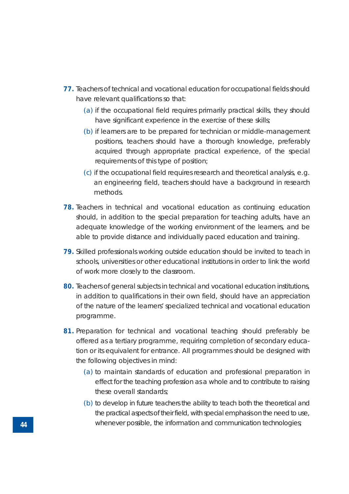- **77.** Teachers of technical and vocational education for occupational fields should have relevant qualifications so that:
	- (a) if the occupational field requires primarily practical skills, they should have significant experience in the exercise of these skills;
	- (b) if learners are to be prepared for technician or middle-management positions, teachers should have a thorough knowledge, preferably acquired through appropriate practical experience, of the special requirements of this type of position;
	- (c) if the occupational field requires research and theoretical analysis, e.g. an engineering field, teachers should have a background in research methods.
- **78.** Teachers in technical and vocational education as continuing education should, in addition to the special preparation for teaching adults, have an adequate knowledge of the working environment of the learners, and be able to provide distance and individually paced education and training.
- **79.** Skilled professionals working outside education should be invited to teach in schools, universities or other educational institutions in order to link the world of work more closely to the classroom.
- **80.** Teachers of general subjects in technical and vocational education institutions, in addition to qualifications in their own field, should have an appreciation of the nature of the learners' specialized technical and vocational education programme.
- **81.** Preparation for technical and vocational teaching should preferably be offered as a tertiary programme, requiring completion of secondary education or its equivalent for entrance. All programmes should be designed with the following objectives in mind:
	- (a) to maintain standards of education and professional preparation in effect for the teaching profession as a whole and to contribute to raising these overall standards;
	- (b) to develop in future teachers the ability to teach both the theoretical and the practical aspects of their field, with special emphasis on the need to use, whenever possible, the information and communication technologies;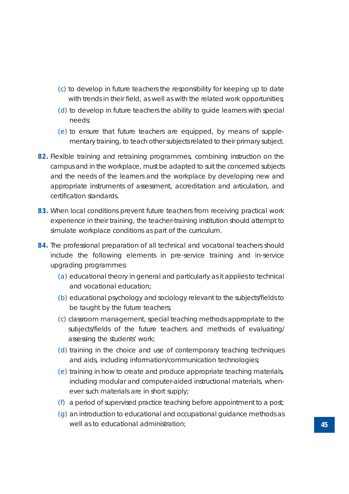- (c) to develop in future teachers the responsibility for keeping up to date with trends in their field, as well as with the related work opportunities;
- (d) to develop in future teachers the ability to guide learners with special needs;
- (e) to ensure that future teachers are equipped, by means of supplementary training, to teach other subjects related to their primary subject.
- **82.** Flexible training and retraining programmes, combining instruction on the campus and in the workplace, must be adapted to suit the concerned subjects and the needs of the learners and the workplace by developing new and appropriate instruments of assessment, accreditation and articulation, and certification standards.
- **83.** When local conditions prevent future teachers from receiving practical work experience in their training, the teacher-training institution should attempt to simulate workplace conditions as part of the curriculum.
- **84.** The professional preparation of all technical and vocational teachers should include the following elements in pre-service training and in-service upgrading programmes:
	- (a) educational theory in general and particularly as it applies to technical and vocational education;
	- (b) educational psychology and sociology relevant to the subjects/fields to be taught by the future teachers;
	- (c) classroom management, special teaching methods appropriate to the subjects/fields of the future teachers and methods of evaluating/ assessing the students' work;
	- (d) training in the choice and use of contemporary teaching techniques and aids, including information/communication technologies;
	- (e) training in how to create and produce appropriate teaching materials, including modular and computer-aided instructional materials, whenever such materials are in short supply;
	- (f) a period of supervised practice teaching before appointment to a post;
	- (g) an introduction to educational and occupational guidance methods as well as to educational administration;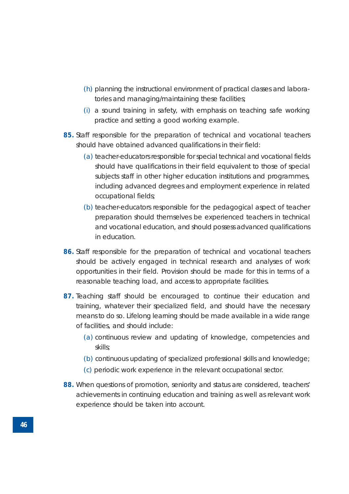- (h) planning the instructional environment of practical classes and laboratories and managing/maintaining these facilities;
- (i) a sound training in safety, with emphasis on teaching safe working practice and setting a good working example.
- **85.** Staff responsible for the preparation of technical and vocational teachers should have obtained advanced qualifications in their field:
	- (a) teacher-educators responsible for special technical and vocational fields should have qualifications in their field equivalent to those of special subjects staff in other higher education institutions and programmes, including advanced degrees and employment experience in related occupational fields;
	- (b) teacher-educators responsible for the pedagogical aspect of teacher preparation should themselves be experienced teachers in technical and vocational education, and should possess advanced qualifications in education.
- **86.** Staff responsible for the preparation of technical and vocational teachers should be actively engaged in technical research and analyses of work opportunities in their field. Provision should be made for this in terms of a reasonable teaching load, and access to appropriate facilities.
- **87.** Teaching staff should be encouraged to continue their education and training, whatever their specialized field, and should have the necessary means to do so. Lifelong learning should be made available in a wide range of facilities, and should include:
	- (a) continuous review and updating of knowledge, competencies and skills;
	- (b) continuous updating of specialized professional skills and knowledge;
	- (c) periodic work experience in the relevant occupational sector.
- **88.** When questions of promotion, seniority and status are considered, teachers' achievements in continuing education and training as well as relevant work experience should be taken into account.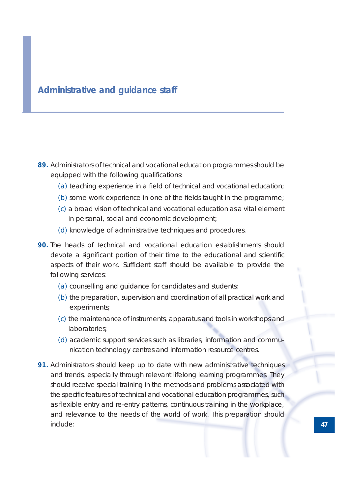#### <span id="page-41-0"></span>**Administrative and guidance staff**

- **89.** Administrators of technical and vocational education programmes should be equipped with the following qualifications:
	- (a) teaching experience in a field of technical and vocational education;
	- (b) some work experience in one of the fields taught in the programme;
	- (c) a broad vision of technical and vocational education as a vital element in personal, social and economic development;
	- (d) knowledge of administrative techniques and procedures.
- **90.** The heads of technical and vocational education establishments should devote a significant portion of their time to the educational and scientific aspects of their work. Sufficient staff should be available to provide the following services:
	- (a) counselling and guidance for candidates and students;
	- (b) the preparation, supervision and coordination of all practical work and experiments;
	- (c) the maintenance of instruments, apparatus and tools in workshops and laboratories;
	- (d) academic support services such as libraries, information and communication technology centres and information resource centres.
- **91.** Administrators should keep up to date with new administrative techniques and trends, especially through relevant lifelong learning programmes. They should receive special training in the methods and problems associated with the specific features of technical and vocational education programmes, such as flexible entry and re-entry patterns, continuous training in the workplace, and relevance to the needs of the world of work. This preparation should include: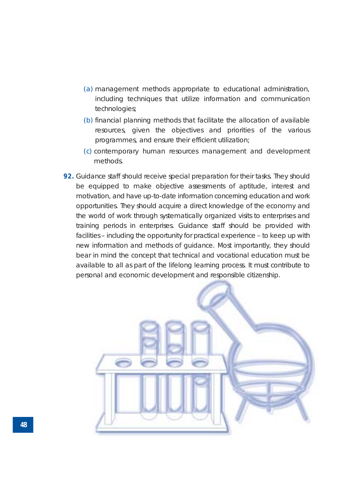- (a) management methods appropriate to educational administration, including techniques that utilize information and communication technologies;
- (b) financial planning methods that facilitate the allocation of available resources, given the objectives and priorities of the various programmes, and ensure their efficient utilization;
- (c) contemporary human resources management and development methods.
- **92.** Guidance staff should receive special preparation for their tasks. They should be equipped to make objective assessments of aptitude, interest and motivation, and have up-to-date information concerning education and work opportunities. They should acquire a direct knowledge of the economy and the world of work through systematically organized visits to enterprises and training periods in enterprises. Guidance staff should be provided with facilities – including the opportunity for practical experience – to keep up with new information and methods of guidance. Most importantly, they should bear in mind the concept that technical and vocational education must be available to all as part of the lifelong learning process. It must contribute to personal and economic development and responsible citizenship.

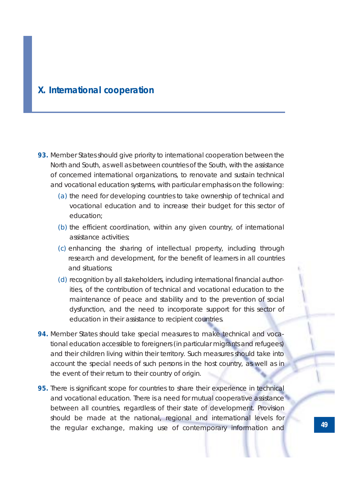#### <span id="page-43-0"></span>**X. International cooperation**

- **93.** Member States should give priority to international cooperation between the North and South, as well as between countries of the South, with the assistance of concerned international organizations, to renovate and sustain technical and vocational education systems, with particular emphasis on the following:
	- (a) the need for developing countries to take ownership of technical and vocational education and to increase their budget for this sector of education;
	- (b) the efficient coordination, within any given country, of international assistance activities;
	- (c) enhancing the sharing of intellectual property, including through research and development, for the benefit of learners in all countries and situations;
	- (d) recognition by all stakeholders, including international financial authorities, of the contribution of technical and vocational education to the maintenance of peace and stability and to the prevention of social dysfunction, and the need to incorporate support for this sector of education in their assistance to recipient countries.
- **94.** Member States should take special measures to make technical and vocational education accessible to foreigners (in particular migrants and refugees) and their children living within their territory. Such measures should take into account the special needs of such persons in the host country, as well as in the event of their return to their country of origin.
- **95.** There is significant scope for countries to share their experience in technical and vocational education. There is a need for mutual cooperative assistance between all countries, regardless of their state of development. Provision should be made at the national, regional and international levels for the regular exchange, making use of contemporary information and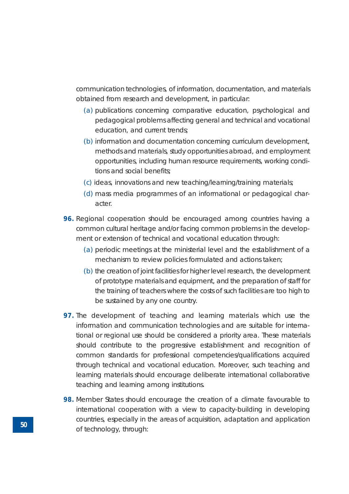communication technologies, of information, documentation, and materials obtained from research and development, in particular:

- (a) publications concerning comparative education, psychological and pedagogical problems affecting general and technical and vocational education, and current trends;
- (b) information and documentation concerning curriculum development, methods and materials, study opportunities abroad, and employment opportunities, including human resource requirements, working conditions and social benefits;
- (c) ideas, innovations and new teaching/learning/training materials;
- (d) mass media programmes of an informational or pedagogical character.
- **96.** Regional cooperation should be encouraged among countries having a common cultural heritage and/or facing common problems in the development or extension of technical and vocational education through:
	- (a) periodic meetings at the ministerial level and the establishment of a mechanism to review policies formulated and actions taken;
	- (b) the creation of joint facilities for higher level research, the development of prototype materials and equipment, and the preparation of staff for the training of teachers where the costs of such facilities are too high to be sustained by any one country.
- **97.** The development of teaching and learning materials which use the information and communication technologies and are suitable for international or regional use should be considered a priority area. These materials should contribute to the progressive establishment and recognition of common standards for professional competencies/qualifications acquired through technical and vocational education. Moreover, such teaching and learning materials should encourage deliberate international collaborative teaching and learning among institutions.
- **98.** Member States should encourage the creation of a climate favourable to international cooperation with a view to capacity-building in developing countries, especially in the areas of acquisition, adaptation and application of technology, through: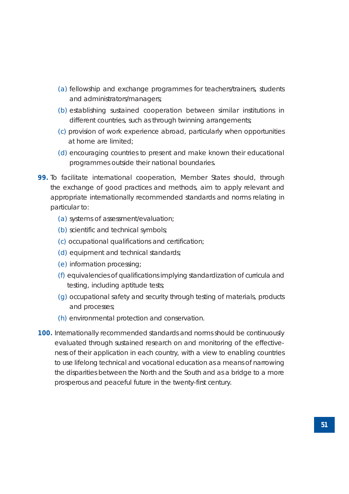- (a) fellowship and exchange programmes for teachers/trainers, students and administrators/managers;
- (b) establishing sustained cooperation between similar institutions in different countries, such as through twinning arrangements;
- (c) provision of work experience abroad, particularly when opportunities at home are limited;
- (d) encouraging countries to present and make known their educational programmes outside their national boundaries.
- **99.** To facilitate international cooperation, Member States should, through the exchange of good practices and methods, aim to apply relevant and appropriate internationally recommended standards and norms relating in particular to:
	- (a) systems of assessment/evaluation;
	- (b) scientific and technical symbols;
	- (c) occupational qualifications and certification;
	- (d) equipment and technical standards;
	- (e) information processing;
	- (f) equivalencies of qualifications implying standardization of curricula and testing, including aptitude tests;
	- (g) occupational safety and security through testing of materials, products and processes;
	- (h) environmental protection and conservation.
- **100.** Internationally recommended standards and norms should be continuously evaluated through sustained research on and monitoring of the effectiveness of their application in each country, with a view to enabling countries to use lifelong technical and vocational education as a means of narrowing the disparities between the North and the South and as a bridge to a more prosperous and peaceful future in the twenty-first century.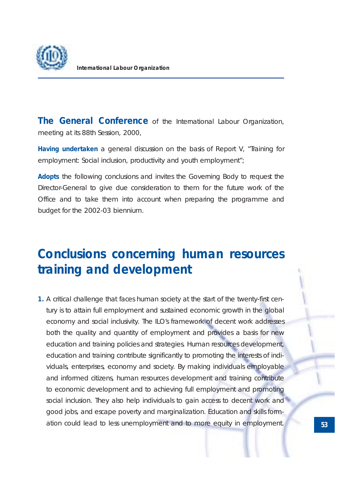<span id="page-46-0"></span>

*The General Conference* of the International Labour Organization, meeting at its 88th Session, 2000,

*Having undertaken* a general discussion on the basis of Report V, "Training for employment: Social inclusion, productivity and youth employment";

*Adopts* the following conclusions and invites the Governing Body to request the Director-General to give due consideration to them for the future work of the Office and to take them into account when preparing the programme and budget for the 2002-03 biennium.

### **Conclusions concerning human resources training and development**

**1.** A critical challenge that faces human society at the start of the twenty-first century is to attain full employment and sustained economic growth in the global economy and social inclusivity. The ILO's framework of decent work addresses both the quality and quantity of employment and provides a basis for new education and training policies and strategies. Human resources development, education and training contribute significantly to promoting the interests of individuals, enterprises, economy and society. By making individuals employable and informed citizens, human resources development and training contribute to economic development and to achieving full employment and promoting social inclusion. They also help individuals to gain access to decent work and good jobs, and escape poverty and marginalization. Education and skills formation could lead to less unemployment and to more equity in employment.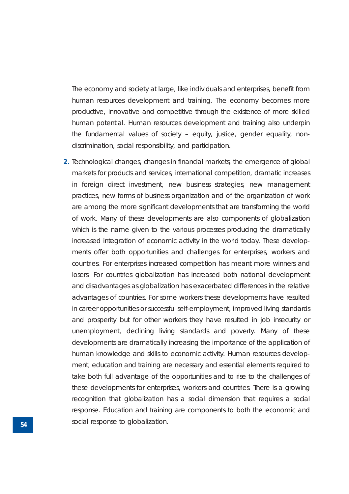The economy and society at large, like individuals and enterprises, benefit from human resources development and training. The economy becomes more productive, innovative and competitive through the existence of more skilled human potential. Human resources development and training also underpin the fundamental values of society – equity, justice, gender equality, nondiscrimination, social responsibility, and participation.

**2.** Technological changes, changes in financial markets, the emergence of global markets for products and services, international competition, dramatic increases in foreign direct investment, new business strategies, new management practices, new forms of business organization and of the organization of work are among the more significant developments that are transforming the world of work. Many of these developments are also components of globalization which is the name given to the various processes producing the dramatically increased integration of economic activity in the world today. These developments offer both opportunities and challenges for enterprises, workers and countries. For enterprises increased competition has meant more winners and losers. For countries globalization has increased both national development and disadvantages as globalization has exacerbated differences in the relative advantages of countries. For some workers these developments have resulted in career opportunities or successful self-employment, improved living standards and prosperity but for other workers they have resulted in job insecurity or unemployment, declining living standards and poverty. Many of these developments are dramatically increasing the importance of the application of human knowledge and skills to economic activity. Human resources development, education and training are necessary and essential elements required to take both full advantage of the opportunities and to rise to the challenges of these developments for enterprises, workers and countries. There is a growing recognition that globalization has a social dimension that requires a social response. Education and training are components to both the economic and social response to globalization.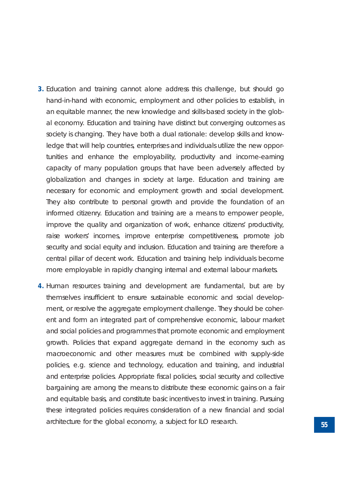- **3.** Education and training cannot alone address this challenge, but should go hand-in-hand with economic, employment and other policies to establish, in an equitable manner, the new knowledge and skills-based society in the global economy. Education and training have distinct but converging outcomes as society is changing. They have both a dual rationale: develop skills and knowledge that will help countries, enterprises and individuals utilize the new opportunities and enhance the employability, productivity and income-earning capacity of many population groups that have been adversely affected by globalization and changes in society at large. Education and training are necessary for economic and employment growth and social development. They also contribute to personal growth and provide the foundation of an informed citizenry. Education and training are a means to empower people, improve the quality and organization of work, enhance citizens' productivity, raise workers' incomes, improve enterprise competitiveness, promote job security and social equity and inclusion. Education and training are therefore a central pillar of decent work. Education and training help individuals become more employable in rapidly changing internal and external labour markets.
- **4.** Human resources training and development are fundamental, but are by themselves insufficient to ensure sustainable economic and social development, or resolve the aggregate employment challenge. They should be coherent and form an integrated part of comprehensive economic, labour market and social policies and programmes that promote economic and employment growth. Policies that expand aggregate demand in the economy such as macroeconomic and other measures must be combined with supply-side policies, e.g. science and technology, education and training, and industrial and enterprise policies. Appropriate fiscal policies, social security and collective bargaining are among the means to distribute these economic gains on a fair and equitable basis, and constitute basic incentives to invest in training. Pursuing these integrated policies requires consideration of a new financial and social architecture for the global economy, a subject for ILO research.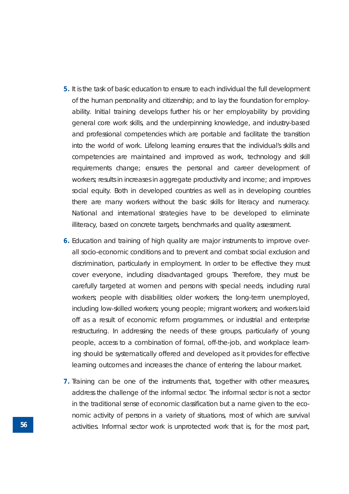- **5.** It is the task of basic education to ensure to each individual the full development of the human personality and citizenship; and to lay the foundation for employability. Initial training develops further his or her employability by providing general core work skills, and the underpinning knowledge, and industry-based and professional competencies which are portable and facilitate the transition into the world of work. Lifelong learning ensures that the individual's skills and competencies are maintained and improved as work, technology and skill requirements change; ensures the personal and career development of workers; results in increases in aggregate productivity and income; and improves social equity. Both in developed countries as well as in developing countries there are many workers without the basic skills for literacy and numeracy. National and international strategies have to be developed to eliminate illiteracy, based on concrete targets, benchmarks and quality assessment.
- **6.** Education and training of high quality are major instruments to improve overall socio-economic conditions and to prevent and combat social exclusion and discrimination, particularly in employment. In order to be effective they must cover everyone, including disadvantaged groups. Therefore, they must be carefully targeted at women and persons with special needs, including rural workers; people with disabilities; older workers; the long-term unemployed, including low-skilled workers; young people; migrant workers; and workers laid off as a result of economic reform programmes, or industrial and enterprise restructuring. In addressing the needs of these groups, particularly of young people, access to a combination of formal, off-the-job, and workplace learning should be systematically offered and developed as it provides for effective learning outcomes and increases the chance of entering the labour market.
- **7.** Training can be one of the instruments that, together with other measures, address the challenge of the informal sector. The informal sector is not a sector in the traditional sense of economic classification but a name given to the economic activity of persons in a variety of situations, most of which are survival activities. Informal sector work is unprotected work that is, for the most part,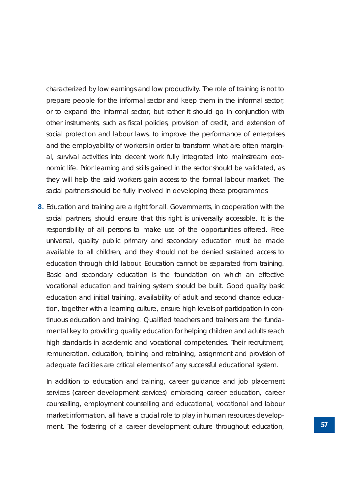characterized by low earnings and low productivity. The role of training is not to prepare people for the informal sector and keep them in the informal sector; or to expand the informal sector; but rather it should go in conjunction with other instruments, such as fiscal policies, provision of credit, and extension of social protection and labour laws, to improve the performance of enterprises and the employability of workers in order to transform what are often marginal, survival activities into decent work fully integrated into mainstream economic life. Prior learning and skills gained in the sector should be validated, as they will help the said workers gain access to the formal labour market. The social partners should be fully involved in developing these programmes.

**8.** Education and training are a right for all. Governments, in cooperation with the social partners, should ensure that this right is universally accessible. It is the responsibility of all persons to make use of the opportunities offered. Free universal, quality public primary and secondary education must be made available to all children, and they should not be denied sustained access to education through child labour. Education cannot be separated from training. Basic and secondary education is the foundation on which an effective vocational education and training system should be built. Good quality basic education and initial training, availability of adult and second chance education, together with a learning culture, ensure high levels of participation in continuous education and training. Qualified teachers and trainers are the fundamental key to providing quality education for helping children and adults reach high standards in academic and vocational competencies. Their recruitment, remuneration, education, training and retraining, assignment and provision of adequate facilities are critical elements of any successful educational system.

In addition to education and training, career guidance and job placement services (career development services) embracing career education, career counselling, employment counselling and educational, vocational and labour market information, all have a crucial role to play in human resources development. The fostering of a career development culture throughout education,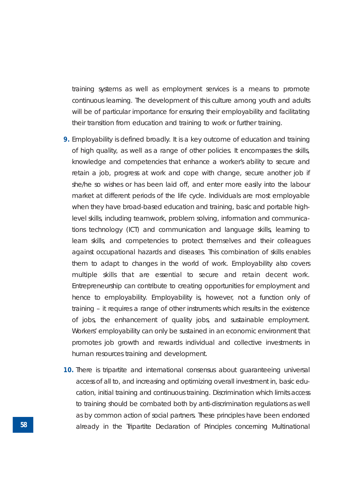training systems as well as employment services is a means to promote continuous learning. The development of this culture among youth and adults will be of particular importance for ensuring their employability and facilitating their transition from education and training to work or further training.

- **9.** Employability is defined broadly. It is a key outcome of education and training of high quality, as well as a range of other policies. It encompasses the skills, knowledge and competencies that enhance a worker's ability to secure and retain a job, progress at work and cope with change, secure another job if she/he so wishes or has been laid off, and enter more easily into the labour market at different periods of the life cycle. Individuals are most employable when they have broad-based education and training, basic and portable highlevel skills, including teamwork, problem solving, information and communications technology (ICT) and communication and language skills, learning to learn skills, and competencies to protect themselves and their colleagues against occupational hazards and diseases. This combination of skills enables them to adapt to changes in the world of work. Employability also covers multiple skills that are essential to secure and retain decent work. Entrepreneurship can contribute to creating opportunities for employment and hence to employability. Employability is, however, not a function only of training – it requires a range of other instruments which results in the existence of jobs, the enhancement of quality jobs, and sustainable employment. Workers' employability can only be sustained in an economic environment that promotes job growth and rewards individual and collective investments in human resources training and development.
- **10.** There is tripartite and international consensus about guaranteeing universal access of all to, and increasing and optimizing overall investment in, basic education, initial training and continuous training. Discrimination which limits access to training should be combated both by anti-discrimination regulations as well as by common action of social partners. These principles have been endorsed already in the Tripartite Declaration of Principles concerning Multinational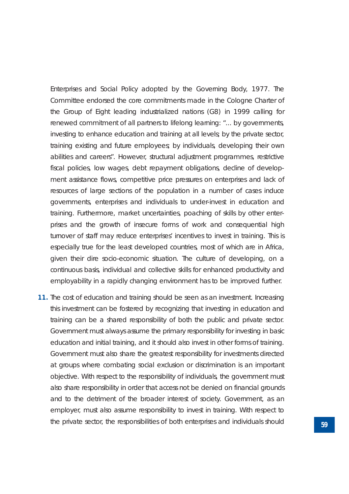Enterprises and Social Policy adopted by the Governing Body, 1977. The Committee endorsed the core commitments made in the Cologne Charter of the Group of Eight leading industrialized nations (G8) in 1999 calling for renewed commitment of all partners to lifelong learning: "... by governments, investing to enhance education and training at all levels; by the private sector, training existing and future employees; by individuals, developing their own abilities and careers". However, structural adjustment programmes, restrictive fiscal policies, low wages, debt repayment obligations, decline of development assistance flows, competitive price pressures on enterprises and lack of resources of large sections of the population in a number of cases induce governments, enterprises and individuals to under-invest in education and training. Furthermore, market uncertainties, poaching of skills by other enterprises and the growth of insecure forms of work and consequential high turnover of staff may reduce enterprises' incentives to invest in training. This is especially true for the least developed countries, most of which are in Africa, given their dire socio-economic situation. The culture of developing, on a continuous basis, individual and collective skills for enhanced productivity and employability in a rapidly changing environment has to be improved further.

**11.** The cost of education and training should be seen as an investment. Increasing this investment can be fostered by recognizing that investing in education and training can be a shared responsibility of both the public and private sector. Government must always assume the primary responsibility for investing in basic education and initial training, and it should also invest in other forms of training. Government must also share the greatest responsibility for investments directed at groups where combating social exclusion or discrimination is an important objective. With respect to the responsibility of individuals, the government must also share responsibility in order that access not be denied on financial grounds and to the detriment of the broader interest of society. Government, as an employer, must also assume responsibility to invest in training. With respect to the private sector, the responsibilities of both enterprises and individuals should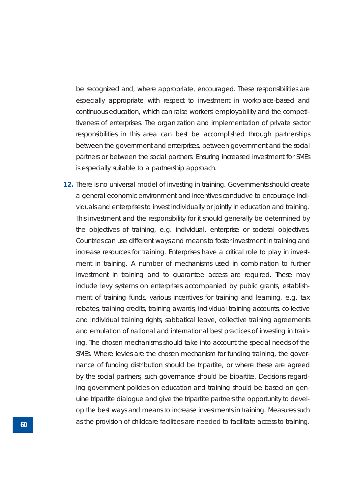be recognized and, where appropriate, encouraged. These responsibilities are especially appropriate with respect to investment in workplace-based and continuous education, which can raise workers' employability and the competitiveness of enterprises. The organization and implementation of private sector responsibilities in this area can best be accomplished through partnerships between the government and enterprises, between government and the social partners or between the social partners. Ensuring increased investment for SMEs is especially suitable to a partnership approach.

**12.** There is no universal model of investing in training. Governments should create a general economic environment and incentives conducive to encourage individuals and enterprises to invest individually or jointly in education and training. This investment and the responsibility for it should generally be determined by the objectives of training, e.g. individual, enterprise or societal objectives. Countries can use different ways and means to foster investment in training and increase resources for training. Enterprises have a critical role to play in investment in training. A number of mechanisms used in combination to further investment in training and to guarantee access are required. These may include levy systems on enterprises accompanied by public grants, establishment of training funds, various incentives for training and learning, e.g. tax rebates, training credits, training awards, individual training accounts, collective and individual training rights, sabbatical leave, collective training agreements and emulation of national and international best practices of investing in training. The chosen mechanisms should take into account the special needs of the SMEs. Where levies are the chosen mechanism for funding training, the governance of funding distribution should be tripartite, or where these are agreed by the social partners, such governance should be bipartite. Decisions regarding government policies on education and training should be based on genuine tripartite dialogue and give the tripartite partners the opportunity to develop the best ways and means to increase investments in training. Measures such as the provision of childcare facilities are needed to facilitate access to training.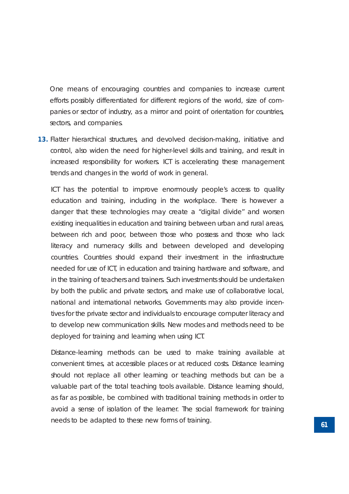One means of encouraging countries and companies to increase current efforts possibly differentiated for different regions of the world, size of companies or sector of industry, as a mirror and point of orientation for countries, sectors, and companies.

**13.** Flatter hierarchical structures, and devolved decision-making, initiative and control, also widen the need for higher-level skills and training, and result in increased responsibility for workers. ICT is accelerating these management trends and changes in the world of work in general.

ICT has the potential to improve enormously people's access to quality education and training, including in the workplace. There is however a danger that these technologies may create a "digital divide" and worsen existing inequalities in education and training between urban and rural areas, between rich and poor, between those who possess and those who lack literacy and numeracy skills and between developed and developing countries. Countries should expand their investment in the infrastructure needed for use of ICT, in education and training hardware and software, and in the training of teachers and trainers. Such investments should be undertaken by both the public and private sectors, and make use of collaborative local, national and international networks. Governments may also provide incentives for the private sector and individuals to encourage computer literacy and to develop new communication skills. New modes and methods need to be deployed for training and learning when using ICT.

Distance-learning methods can be used to make training available at convenient times, at accessible places or at reduced costs. Distance learning should not replace all other learning or teaching methods but can be a valuable part of the total teaching tools available. Distance learning should, as far as possible, be combined with traditional training methods in order to avoid a sense of isolation of the learner. The social framework for training needs to be adapted to these new forms of training.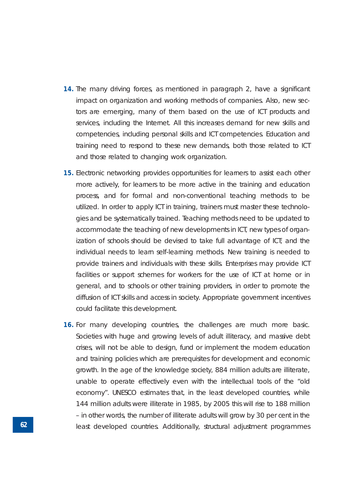- **14.** The many driving forces, as mentioned in paragraph 2, have a significant impact on organization and working methods of companies. Also, new sectors are emerging, many of them based on the use of ICT products and services, including the Internet. All this increases demand for new skills and competencies, including personal skills and ICT competencies. Education and training need to respond to these new demands, both those related to ICT and those related to changing work organization.
- **15.** Electronic networking provides opportunities for learners to assist each other more actively, for learners to be more active in the training and education process, and for formal and non-conventional teaching methods to be utilized. In order to apply ICT in training, trainers must master these technologies and be systematically trained. Teaching methods need to be updated to accommodate the teaching of new developments in ICT, new types of organization of schools should be devised to take full advantage of ICT; and the individual needs to learn self-learning methods. New training is needed to provide trainers and individuals with these skills. Enterprises may provide ICT facilities or support schemes for workers for the use of ICT at home or in general, and to schools or other training providers, in order to promote the diffusion of ICT skills and access in society. Appropriate government incentives could facilitate this development.
- **16.** For many developing countries, the challenges are much more basic. Societies with huge and growing levels of adult illiteracy, and massive debt crises, will not be able to design, fund or implement the modern education and training policies which are prerequisites for development and economic growth. In the age of the knowledge society, 884 million adults are illiterate, unable to operate effectively even with the intellectual tools of the "old economy". UNESCO estimates that, in the least developed countries, while 144 million adults were illiterate in 1985, by 2005 this will rise to 188 million – in other words, the number of illiterate adults will grow by 30 per cent in the least developed countries. Additionally, structural adjustment programmes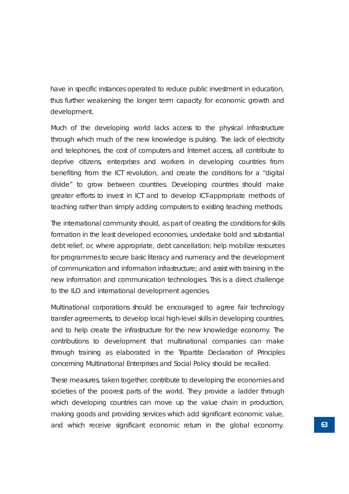have in specific instances operated to reduce public investment in education, thus further weakening the longer term capacity for economic growth and development.

Much of the developing world lacks access to the physical infrastructure through which much of the new knowledge is pulsing. The lack of electricity and telephones, the cost of computers and Internet access, all contribute to deprive citizens, enterprises and workers in developing countries from benefiting from the ICT revolution, and create the conditions for a "digital divide" to grow between countries. Developing countries should make greater efforts to invest in ICT and to develop ICT-appropriate methods of teaching rather than simply adding computers to existing teaching methods.

The international community should, as part of creating the conditions for skills formation in the least developed economies, undertake bold and substantial debt relief, or, where appropriate, debt cancellation; help mobilize resources for programmes to secure basic literacy and numeracy and the development of communication and information infrastructure; and assist with training in the new information and communication technologies. This is a direct challenge to the ILO and international development agencies.

Multinational corporations should be encouraged to agree fair technology transfer agreements, to develop local high-level skills in developing countries, and to help create the infrastructure for the new knowledge economy. The contributions to development that multinational companies can make through training as elaborated in the Tripartite Declaration of Principles concerning Multinational Enterprises and Social Policy should be recalled.

These measures, taken together, contribute to developing the economies and societies of the poorest parts of the world. They provide a ladder through which developing countries can move up the value chain in production, making goods and providing services which add significant economic value, and which receive significant economic return in the global economy.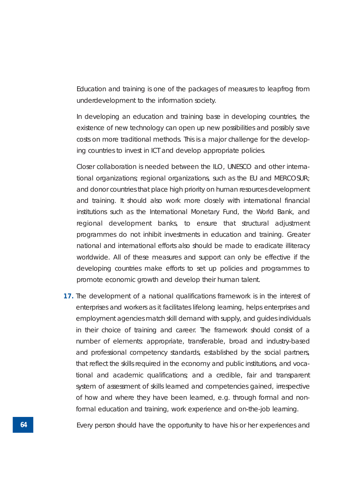Education and training is one of the packages of measures to leapfrog from underdevelopment to the information society.

In developing an education and training base in developing countries, the existence of new technology can open up new possibilities and possibly save costs on more traditional methods. This is a major challenge for the developing countries to invest in ICT and develop appropriate policies.

Closer collaboration is needed between the ILO, UNESCO and other international organizations; regional organizations, such as the EU and MERCOSUR; and donor countries that place high priority on human resources development and training. It should also work more closely with international financial institutions such as the International Monetary Fund, the World Bank, and regional development banks, to ensure that structural adjustment programmes do not inhibit investments in education and training. Greater national and international efforts also should be made to eradicate illiteracy worldwide. All of these measures and support can only be effective if the developing countries make efforts to set up policies and programmes to promote economic growth and develop their human talent.

**17.** The development of a national qualifications framework is in the interest of enterprises and workers as it facilitates lifelong learning, helps enterprises and employment agencies match skill demand with supply, and guides individuals in their choice of training and career. The framework should consist of a number of elements: appropriate, transferable, broad and industry-based and professional competency standards, established by the social partners, that reflect the skills required in the economy and public institutions, and vocational and academic qualifications; and a credible, fair and transparent system of assessment of skills learned and competencies gained, irrespective of how and where they have been learned, e.g. through formal and nonformal education and training, work experience and on-the-job learning.

Every person should have the opportunity to have his or her experiences and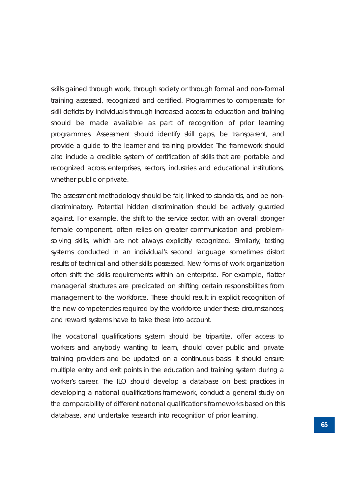skills gained through work, through society or through formal and non-formal training assessed, recognized and certified. Programmes to compensate for skill deficits by individuals through increased access to education and training should be made available as part of recognition of prior learning programmes. Assessment should identify skill gaps, be transparent, and provide a guide to the learner and training provider. The framework should also include a credible system of certification of skills that are portable and recognized across enterprises, sectors, industries and educational institutions, whether public or private.

The assessment methodology should be fair, linked to standards, and be nondiscriminatory. Potential hidden discrimination should be actively guarded against. For example, the shift to the service sector, with an overall stronger female component, often relies on greater communication and problemsolving skills, which are not always explicitly recognized. Similarly, testing systems conducted in an individual's second language sometimes distort results of technical and other skills possessed. New forms of work organization often shift the skills requirements within an enterprise. For example, flatter managerial structures are predicated on shifting certain responsibilities from management to the workforce. These should result in explicit recognition of the new competencies required by the workforce under these circumstances; and reward systems have to take these into account.

The vocational qualifications system should be tripartite, offer access to workers and anybody wanting to learn, should cover public and private training providers and be updated on a continuous basis. It should ensure multiple entry and exit points in the education and training system during a worker's career. The ILO should develop a database on best practices in developing a national qualifications framework, conduct a general study on the comparability of different national qualifications frameworks based on this database, and undertake research into recognition of prior learning.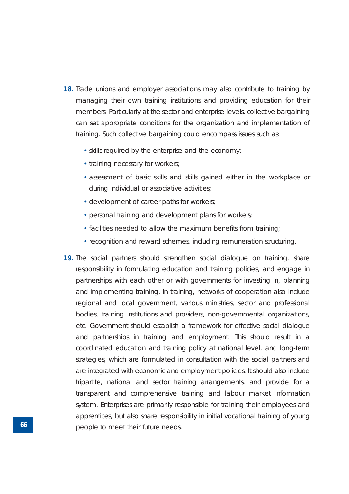- **18.** Trade unions and employer associations may also contribute to training by managing their own training institutions and providing education for their members. Particularly at the sector and enterprise levels, collective bargaining can set appropriate conditions for the organization and implementation of training. Such collective bargaining could encompass issues such as:
	- skills required by the enterprise and the economy;
	- training necessary for workers;
	- assessment of basic skills and skills gained either in the workplace or during individual or associative activities;
	- development of career paths for workers;
	- personal training and development plans for workers;
	- facilities needed to allow the maximum benefits from training;
	- recognition and reward schemes, including remuneration structuring.
- **19.** The social partners should strengthen social dialogue on training, share responsibility in formulating education and training policies, and engage in partnerships with each other or with governments for investing in, planning and implementing training. In training, networks of cooperation also include regional and local government, various ministries, sector and professional bodies, training institutions and providers, non-governmental organizations, etc. Government should establish a framework for effective social dialogue and partnerships in training and employment. This should result in a coordinated education and training policy at national level, and long-term strategies, which are formulated in consultation with the social partners and are integrated with economic and employment policies. It should also include tripartite, national and sector training arrangements, and provide for a transparent and comprehensive training and labour market information system. Enterprises are primarily responsible for training their employees and apprentices, but also share responsibility in initial vocational training of young people to meet their future needs.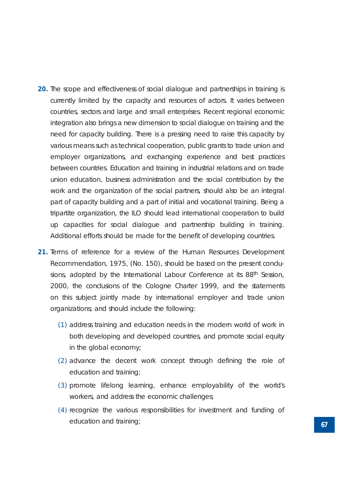- **20.** The scope and effectiveness of social dialogue and partnerships in training is currently limited by the capacity and resources of actors. It varies between countries, sectors and large and small enterprises. Recent regional economic integration also brings a new dimension to social dialogue on training and the need for capacity building. There is a pressing need to raise this capacity by various means such as technical cooperation, public grants to trade union and employer organizations, and exchanging experience and best practices between countries. Education and training in industrial relations and on trade union education, business administration and the social contribution by the work and the organization of the social partners, should also be an integral part of capacity building and a part of initial and vocational training. Being a tripartite organization, the ILO should lead international cooperation to build up capacities for social dialogue and partnership building in training. Additional efforts should be made for the benefit of developing countries.
- **21.** Terms of reference for a review of the Human Resources Development Recommendation, 1975, (No. 150), should be based on the present conclusions, adopted by the International Labour Conference at its 88<sup>th</sup> Session, 2000, the conclusions of the Cologne Charter 1999, and the statements on this subject jointly made by international employer and trade union organizations; and should include the following:
	- (1) address training and education needs in the modern world of work in both developing and developed countries, and promote social equity in the global economy;
	- (2) advance the decent work concept through defining the role of education and training;
	- (3) promote lifelong learning, enhance employability of the world's workers, and address the economic challenges;
	- (4) recognize the various responsibilities for investment and funding of education and training;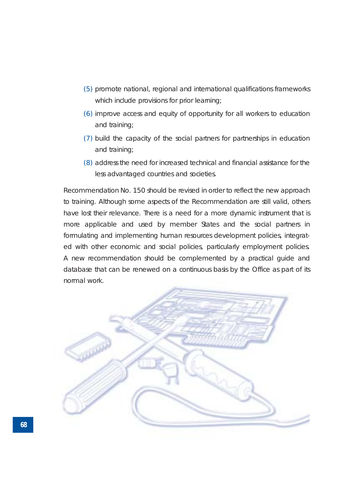- (5) promote national, regional and international qualifications frameworks which include provisions for prior learning;
- (6) improve access and equity of opportunity for all workers to education and training;
- (7) build the capacity of the social partners for partnerships in education and training;
- (8) address the need for increased technical and financial assistance for the less advantaged countries and societies.

Recommendation No. 150 should be revised in order to reflect the new approach to training. Although some aspects of the Recommendation are still valid, others have lost their relevance. There is a need for a more dynamic instrument that is more applicable and used by member States and the social partners in formulating and implementing human resources development policies, integrated with other economic and social policies, particularly employment policies. A new recommendation should be complemented by a practical guide and database that can be renewed on a continuous basis by the Office as part of its normal work.